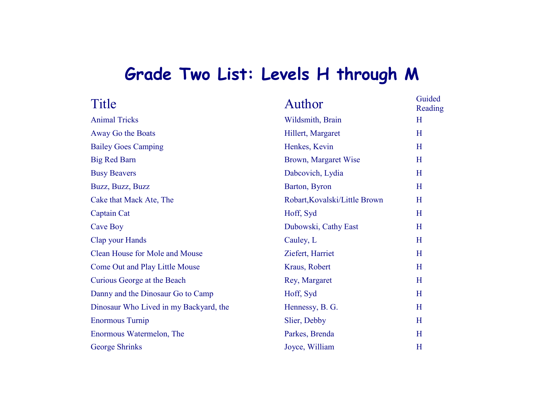## **Grade Two List: Levels H through M**

| Title                                  | Author                        | Guided<br>Reading |
|----------------------------------------|-------------------------------|-------------------|
| <b>Animal Tricks</b>                   | Wildsmith, Brain              | H                 |
| Away Go the Boats                      | Hillert, Margaret             | H                 |
| <b>Bailey Goes Camping</b>             | Henkes, Kevin                 | H                 |
| <b>Big Red Barn</b>                    | Brown, Margaret Wise          | H                 |
| <b>Busy Beavers</b>                    | Dabcovich, Lydia              | H                 |
| Buzz, Buzz, Buzz                       | Barton, Byron                 | H                 |
| Cake that Mack Ate, The                | Robart, Kovalski/Little Brown | H                 |
| Captain Cat                            | Hoff, Syd                     | H                 |
| Cave Boy                               | Dubowski, Cathy East          | H                 |
| Clap your Hands                        | Cauley, L                     | H                 |
| Clean House for Mole and Mouse         | Ziefert, Harriet              | H                 |
| <b>Come Out and Play Little Mouse</b>  | Kraus, Robert                 | H                 |
| Curious George at the Beach            | Rey, Margaret                 | H                 |
| Danny and the Dinosaur Go to Camp      | Hoff, Syd                     | H                 |
| Dinosaur Who Lived in my Backyard, the | Hennessy, B. G.               | H                 |
| <b>Enormous Turnip</b>                 | Slier, Debby                  | H                 |
| Enormous Watermelon, The               | Parkes, Brenda                | H                 |
| <b>George Shrinks</b>                  | Joyce, William                | H                 |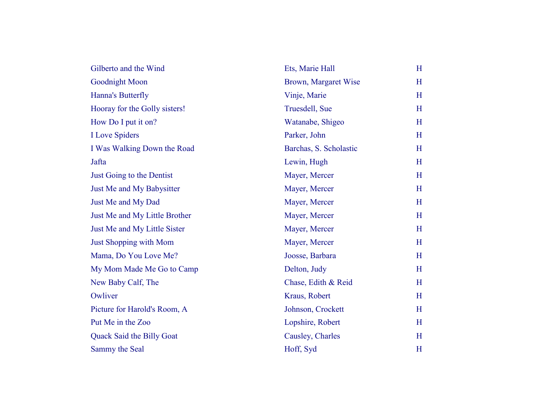| Gilberto and the Wind         | Ets, Marie Hall        | H |
|-------------------------------|------------------------|---|
| Goodnight Moon                | Brown, Margaret Wise   | H |
| Hanna's Butterfly             | Vinje, Marie           | H |
| Hooray for the Golly sisters! | Truesdell, Sue         | H |
| How Do I put it on?           | Watanabe, Shigeo       | H |
| <b>I</b> Love Spiders         | Parker, John           | H |
| I Was Walking Down the Road   | Barchas, S. Scholastic | H |
| Jafta                         | Lewin, Hugh            | H |
| Just Going to the Dentist     | Mayer, Mercer          | H |
| Just Me and My Babysitter     | Mayer, Mercer          | H |
| Just Me and My Dad            | Mayer, Mercer          | H |
| Just Me and My Little Brother | Mayer, Mercer          | H |
| Just Me and My Little Sister  | Mayer, Mercer          | H |
| <b>Just Shopping with Mom</b> | Mayer, Mercer          | H |
| Mama, Do You Love Me?         | Joosse, Barbara        | H |
| My Mom Made Me Go to Camp     | Delton, Judy           | H |
| New Baby Calf, The            | Chase, Edith & Reid    | H |
| Owliver                       | Kraus, Robert          | H |
| Picture for Harold's Room, A  | Johnson, Crockett      | H |
| Put Me in the Zoo             | Lopshire, Robert       | H |
| Quack Said the Billy Goat     | Causley, Charles       | H |
| Sammy the Seal                | Hoff, Syd              | H |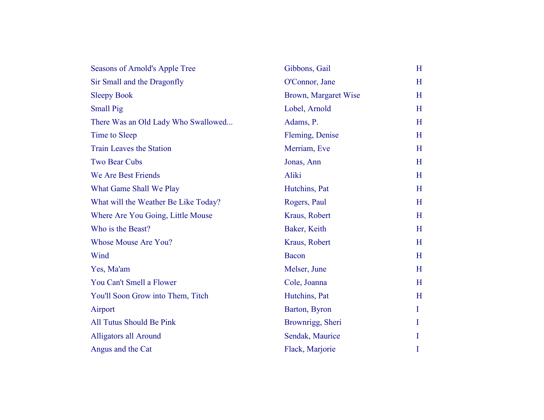| Seasons of Arnold's Apple Tree       | Gibbons, Gail        | H        |
|--------------------------------------|----------------------|----------|
| Sir Small and the Dragonfly          | O'Connor, Jane       | H        |
| <b>Sleepy Book</b>                   | Brown, Margaret Wise | H        |
| <b>Small Pig</b>                     | Lobel, Arnold        | H        |
| There Was an Old Lady Who Swallowed  | Adams, P.            | H        |
| Time to Sleep                        | Fleming, Denise      | H        |
| <b>Train Leaves the Station</b>      | Merriam, Eve         | H        |
| <b>Two Bear Cubs</b>                 | Jonas, Ann           | H        |
| We Are Best Friends                  | Aliki                | H        |
| What Game Shall We Play              | Hutchins, Pat        | H        |
| What will the Weather Be Like Today? | Rogers, Paul         | H        |
| Where Are You Going, Little Mouse    | Kraus, Robert        | H        |
| Who is the Beast?                    | Baker, Keith         | H        |
| <b>Whose Mouse Are You?</b>          | Kraus, Robert        | H        |
| Wind                                 | Bacon                | H        |
| Yes, Ma'am                           | Melser, June         | H        |
| You Can't Smell a Flower             | Cole, Joanna         | H        |
| You'll Soon Grow into Them, Titch    | Hutchins, Pat        | H        |
| Airport                              | Barton, Byron        | $\bf{I}$ |
| All Tutus Should Be Pink             | Brownrigg, Sheri     | $\bf{I}$ |
| <b>Alligators all Around</b>         | Sendak, Maurice      | $\bf{l}$ |
| Angus and the Cat                    | Flack, Marjorie      | I        |
|                                      |                      |          |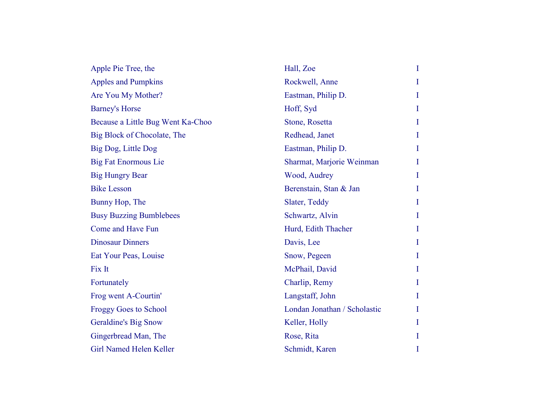| Apple Pie Tree, the               | Hall, Zoe                    | I        |
|-----------------------------------|------------------------------|----------|
| <b>Apples and Pumpkins</b>        | Rockwell, Anne               | I        |
| Are You My Mother?                | Eastman, Philip D.           | Ι        |
| <b>Barney's Horse</b>             | Hoff, Syd                    | $\bf{I}$ |
| Because a Little Bug Went Ka-Choo | Stone, Rosetta               | I        |
| Big Block of Chocolate, The       | Redhead, Janet               | I        |
| Big Dog, Little Dog               | Eastman, Philip D.           | I        |
| <b>Big Fat Enormous Lie</b>       | Sharmat, Marjorie Weinman    | T        |
| <b>Big Hungry Bear</b>            | Wood, Audrey                 | I        |
| <b>Bike Lesson</b>                | Berenstain, Stan & Jan       | Ι        |
| Bunny Hop, The                    | Slater, Teddy                | I        |
| <b>Busy Buzzing Bumblebees</b>    | Schwartz, Alvin              | T        |
| Come and Have Fun                 | Hurd, Edith Thacher          | Ι        |
| <b>Dinosaur Dinners</b>           | Davis, Lee                   | I        |
| Eat Your Peas, Louise             | Snow, Pegeen                 | Ι        |
| Fix It                            | McPhail, David               | I        |
| Fortunately                       | Charlip, Remy                | Ι        |
| Frog went A-Courtin'              | Langstaff, John              | I        |
| <b>Froggy Goes to School</b>      | Londan Jonathan / Scholastic | T        |
| <b>Geraldine's Big Snow</b>       | Keller, Holly                | I        |
| Gingerbread Man, The              | Rose, Rita                   | I        |
| Girl Named Helen Keller           | Schmidt, Karen               | I        |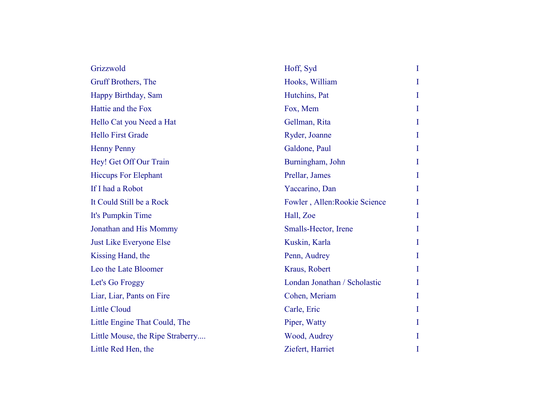| Grizzwold                        | Hoff, Syd                     | $\bf{I}$ |
|----------------------------------|-------------------------------|----------|
| Gruff Brothers, The              | Hooks, William                | I        |
| Happy Birthday, Sam              | Hutchins, Pat                 | I        |
| Hattie and the Fox               | Fox, Mem                      | $\bf{I}$ |
| Hello Cat you Need a Hat         | Gellman, Rita                 | I        |
| <b>Hello First Grade</b>         | Ryder, Joanne                 | $\bf{I}$ |
| <b>Henny Penny</b>               | Galdone, Paul                 | I        |
| Hey! Get Off Our Train           | Burningham, John              | I        |
| <b>Hiccups For Elephant</b>      | Prellar, James                | Ι        |
| If I had a Robot                 | Yaccarino, Dan                | $\bf{I}$ |
| It Could Still be a Rock         | Fowler, Allen: Rookie Science | I        |
| It's Pumpkin Time                | Hall, Zoe                     | $\bf{I}$ |
| Jonathan and His Mommy           | Smalls-Hector, Irene          | I        |
| <b>Just Like Everyone Else</b>   | Kuskin, Karla                 | I        |
| Kissing Hand, the                | Penn, Audrey                  | I        |
| Leo the Late Bloomer             | Kraus, Robert                 | I        |
| Let's Go Froggy                  | Londan Jonathan / Scholastic  | I        |
| Liar, Liar, Pants on Fire        | Cohen, Meriam                 | I        |
| <b>Little Cloud</b>              | Carle, Eric                   | I        |
| Little Engine That Could, The    | Piper, Watty                  | I        |
| Little Mouse, the Ripe Straberry | Wood, Audrey                  | I        |
| Little Red Hen, the              | Ziefert, Harriet              | I        |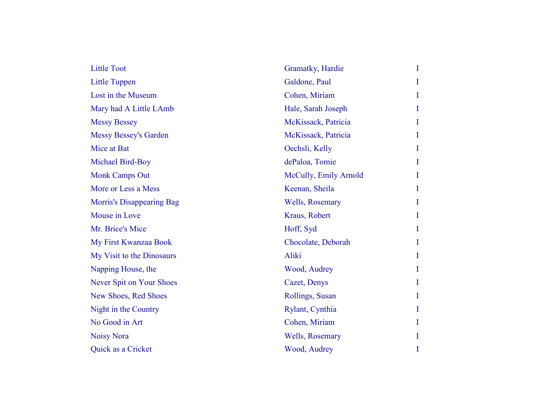| <b>Little Toot</b>        | Gramatky, Hardie      | $\bf{I}$ |
|---------------------------|-----------------------|----------|
| <b>Little Tuppen</b>      | Galdone, Paul         | $\bf{I}$ |
| Lost in the Museum        | Cohen, Miriam         | I        |
| Mary had A Little LAmb    | Hale, Sarah Joseph    | $\bf{l}$ |
| <b>Messy Bessey</b>       | McKissack, Patricia   | $\bf{I}$ |
| Messy Bessey's Garden     | McKissack, Patricia   | I        |
| Mice at Bat               | Oechsli, Kelly        | $\bf{I}$ |
| Michael Bird-Boy          | dePaloa, Tomie        | I        |
| <b>Monk Camps Out</b>     | McCully, Emily Arnold | I        |
| More or Less a Mess       | Keenan, Sheila        | $\bf{I}$ |
| Morris's Disappearing Bag | Wells, Rosemary       | I        |
| Mouse in Love             | Kraus, Robert         | $\bf{I}$ |
| Mr. Brice's Mice          | Hoff, Syd             | I        |
| My First Kwanzaa Book     | Chocolate, Deborah    | I        |
| My Visit to the Dinosaurs | Aliki                 | $\bf{I}$ |
| Napping House, the        | Wood, Audrey          | I        |
| Never Spit on Your Shoes  | Cazet, Denys          | I        |
| New Shoes, Red Shoes      | Rollings, Susan       | I        |
| Night in the Country      | Rylant, Cynthia       | I        |
| No Good in Art            | Cohen, Miriam         | $\bf{I}$ |
| <b>Noisy Nora</b>         | Wells, Rosemary       | I        |
| Quick as a Cricket        | Wood, Audrey          | I        |
|                           |                       |          |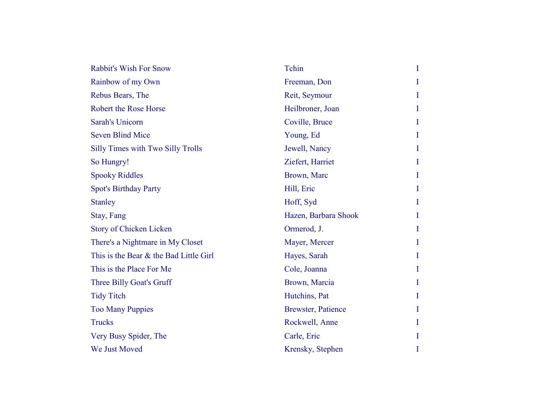| <b>Rabbit's Wish For Snow</b>            | Tchin                     | $\bf{I}$ |
|------------------------------------------|---------------------------|----------|
| Rainbow of my Own                        | Freeman, Don              | I        |
| Rebus Bears, The                         | Reit, Seymour             | I        |
| Robert the Rose Horse                    | Heilbroner, Joan          | I        |
| <b>Sarah's Unicorn</b>                   | Coville, Bruce            | T        |
| <b>Seven Blind Mice</b>                  | Young, Ed                 | $\bf{I}$ |
| <b>Silly Times with Two Silly Trolls</b> | Jewell, Nancy             | $\bf{I}$ |
| So Hungry!                               | Ziefert, Harriet          | I        |
| <b>Spooky Riddles</b>                    | Brown, Marc               | $\bf{I}$ |
| <b>Spot's Birthday Party</b>             | Hill, Eric                | I        |
| <b>Stanley</b>                           | Hoff, Syd                 | I        |
| Stay, Fang                               | Hazen, Barbara Shook      | $\bf{I}$ |
| <b>Story of Chicken Licken</b>           | Ormerod, J.               | I        |
| There's a Nightmare in My Closet         | Mayer, Mercer             | I        |
| This is the Bear & the Bad Little Girl   | Hayes, Sarah              | T        |
| This is the Place For Me                 | Cole, Joanna              | I        |
| Three Billy Goat's Gruff                 | Brown, Marcia             | $\bf{I}$ |
| <b>Tidy Titch</b>                        | Hutchins, Pat             | I        |
| <b>Too Many Puppies</b>                  | <b>Brewster, Patience</b> | I        |
| <b>Trucks</b>                            | Rockwell, Anne            | Ι        |
| Very Busy Spider, The                    | Carle, Eric               | T        |
| We Just Moved                            | Krensky, Stephen          | I        |
|                                          |                           |          |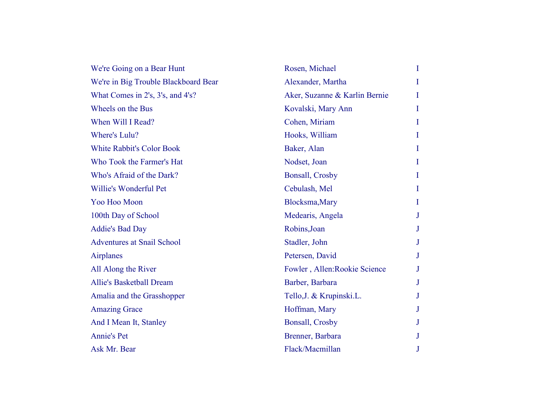| We're Going on a Bear Hunt           | Rosen, Michael                | $\bf{I}$ |
|--------------------------------------|-------------------------------|----------|
| We're in Big Trouble Blackboard Bear | Alexander, Martha             | I        |
| What Comes in 2's, 3's, and 4's?     | Aker, Suzanne & Karlin Bernie | I        |
| Wheels on the Bus                    | Kovalski, Mary Ann            | $\bf{I}$ |
| When Will I Read?                    | Cohen, Miriam                 | I        |
| Where's Lulu?                        | Hooks, William                | I        |
| <b>White Rabbit's Color Book</b>     | Baker, Alan                   | Ι        |
| Who Took the Farmer's Hat            | Nodset, Joan                  | I        |
| Who's Afraid of the Dark?            | <b>Bonsall, Crosby</b>        | I        |
| Willie's Wonderful Pet               | Cebulash, Mel                 | I        |
| Yoo Hoo Moon                         | Blocksma, Mary                | $\bf{I}$ |
| 100th Day of School                  | Medearis, Angela              | J        |
| <b>Addie's Bad Day</b>               | Robins, Joan                  | J        |
| <b>Adventures at Snail School</b>    | Stadler, John                 | J        |
| <b>Airplanes</b>                     | Petersen, David               | $\bf J$  |
| All Along the River                  | Fowler, Allen: Rookie Science | J        |
| <b>Allie's Basketball Dream</b>      | Barber, Barbara               | J        |
| Amalia and the Grasshopper           | Tello, J. & Krupinski. L.     | J        |
| <b>Amazing Grace</b>                 | Hoffman, Mary                 | J        |
| And I Mean It, Stanley               | <b>Bonsall, Crosby</b>        |          |
| <b>Annie's Pet</b>                   | Brenner, Barbara              | J        |
| Ask Mr. Bear                         | Flack/Macmillan               | J        |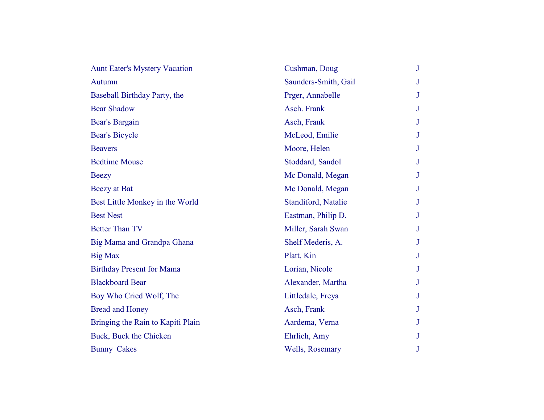| <b>Aunt Eater's Mystery Vacation</b> | Cushman, Doug        | $\mathbf{J}$    |
|--------------------------------------|----------------------|-----------------|
| <b>Autumn</b>                        | Saunders-Smith, Gail | J               |
| Baseball Birthday Party, the         | Prger, Annabelle     | $J_{\rm}$       |
| <b>Bear Shadow</b>                   | Asch. Frank          | $\bf J$         |
| Bear's Bargain                       | Asch, Frank          | $J_{\rm}$       |
| <b>Bear's Bicycle</b>                | McLeod, Emilie       | $\bf J$         |
| <b>Beavers</b>                       | Moore, Helen         | $J_{\parallel}$ |
| <b>Bedtime Mouse</b>                 | Stoddard, Sandol     | J               |
| <b>Beezy</b>                         | Mc Donald, Megan     | J               |
| <b>Beezy</b> at Bat                  | Mc Donald, Megan     | J               |
| Best Little Monkey in the World      | Standiford, Natalie  | J               |
| <b>Best Nest</b>                     | Eastman, Philip D.   | $\bf J$         |
| <b>Better Than TV</b>                | Miller, Sarah Swan   | $\mathbf{J}$    |
| Big Mama and Grandpa Ghana           | Shelf Mederis, A.    | J               |
| <b>Big Max</b>                       | Platt, Kin           | J               |
| <b>Birthday Present for Mama</b>     | Lorian, Nicole       | J               |
| <b>Blackboard Bear</b>               | Alexander, Martha    | $\bf J$         |
| Boy Who Cried Wolf, The              | Littledale, Freya    | J               |
| <b>Bread and Honey</b>               | Asch, Frank          | J               |
| Bringing the Rain to Kapiti Plain    | Aardema, Verna       | $J_{-}$         |
| Buck, Buck the Chicken               | Ehrlich, Amy         | J               |
| <b>Bunny Cakes</b>                   | Wells, Rosemary      | J               |
|                                      |                      |                 |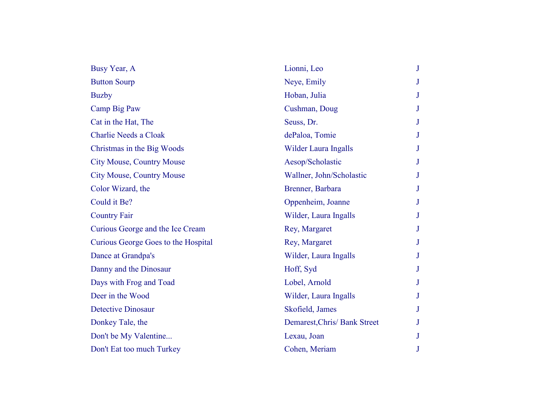| Busy Year, A                        | Lionni, Leo                  |   |
|-------------------------------------|------------------------------|---|
| <b>Button Sourp</b>                 | Neye, Emily                  |   |
| <b>Buzby</b>                        | Hoban, Julia                 | J |
| Camp Big Paw                        | Cushman, Doug                |   |
| Cat in the Hat, The                 | Seuss, Dr.                   |   |
| <b>Charlie Needs a Cloak</b>        | dePaloa, Tomie               |   |
| Christmas in the Big Woods          | Wilder Laura Ingalls         |   |
| <b>City Mouse, Country Mouse</b>    | Aesop/Scholastic             |   |
| <b>City Mouse, Country Mouse</b>    | Wallner, John/Scholastic     |   |
| Color Wizard, the                   | Brenner, Barbara             | J |
| Could it Be?                        | Oppenheim, Joanne            |   |
| <b>Country Fair</b>                 | Wilder, Laura Ingalls        |   |
| Curious George and the Ice Cream    | Rey, Margaret                |   |
| Curious George Goes to the Hospital | Rey, Margaret                | J |
| Dance at Grandpa's                  | Wilder, Laura Ingalls        |   |
| Danny and the Dinosaur              | Hoff, Syd                    |   |
| Days with Frog and Toad             | Lobel, Arnold                | J |
| Deer in the Wood                    | Wilder, Laura Ingalls        |   |
| <b>Detective Dinosaur</b>           | Skofield, James              |   |
| Donkey Tale, the                    | Demarest, Chris/ Bank Street |   |
| Don't be My Valentine               | Lexau, Joan                  | J |
| Don't Eat too much Turkey           | Cohen, Meriam                |   |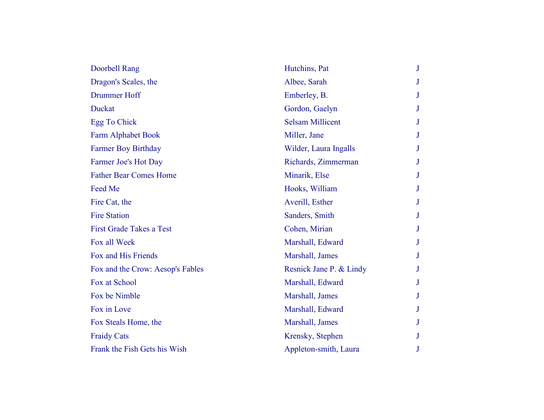| Doorbell Rang                    | Hutchins, Pat           | J |
|----------------------------------|-------------------------|---|
| Dragon's Scales, the             | Albee, Sarah            | J |
| Drummer Hoff                     | Emberley, B.            | J |
| Duckat                           | Gordon, Gaelyn          | J |
| Egg To Chick                     | <b>Selsam Millicent</b> | J |
| <b>Farm Alphabet Book</b>        | Miller, Jane            | J |
| <b>Farmer Boy Birthday</b>       | Wilder, Laura Ingalls   | J |
| Farmer Joe's Hot Day             | Richards, Zimmerman     | J |
| <b>Father Bear Comes Home</b>    | Minarik, Else           | J |
| Feed Me                          | Hooks, William          | J |
| Fire Cat, the                    | Averill, Esther         | J |
| <b>Fire Station</b>              | Sanders, Smith          | J |
| <b>First Grade Takes a Test</b>  | Cohen, Mirian           | J |
| Fox all Week                     | Marshall, Edward        | J |
| Fox and His Friends              | Marshall, James         | J |
| Fox and the Crow: Aesop's Fables | Resnick Jane P. & Lindy | J |
| Fox at School                    | Marshall, Edward        | J |
| Fox be Nimble                    | Marshall, James         | J |
| Fox in Love                      | Marshall, Edward        | J |
| Fox Steals Home, the             | Marshall, James         | J |
| <b>Fraidy Cats</b>               | Krensky, Stephen        | J |
| Frank the Fish Gets his Wish     | Appleton-smith, Laura   | J |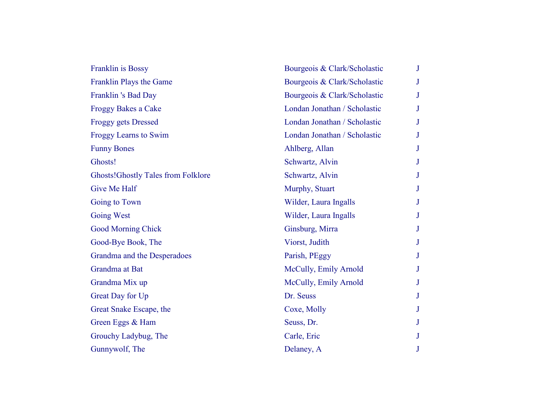| Franklin is Bossy                         | Bourgeois & Clark/Scholastic | J |
|-------------------------------------------|------------------------------|---|
| Franklin Plays the Game                   | Bourgeois & Clark/Scholastic |   |
| Franklin 's Bad Day                       | Bourgeois & Clark/Scholastic |   |
| <b>Froggy Bakes a Cake</b>                | Londan Jonathan / Scholastic |   |
| <b>Froggy gets Dressed</b>                | Londan Jonathan / Scholastic |   |
| Froggy Learns to Swim                     | Londan Jonathan / Scholastic | J |
| <b>Funny Bones</b>                        | Ahlberg, Allan               |   |
| Ghosts!                                   | Schwartz, Alvin              |   |
| <b>Ghosts!Ghostly Tales from Folklore</b> | Schwartz, Alvin              |   |
| Give Me Half                              | Murphy, Stuart               |   |
| Going to Town                             | Wilder, Laura Ingalls        |   |
| <b>Going West</b>                         | Wilder, Laura Ingalls        |   |
| <b>Good Morning Chick</b>                 | Ginsburg, Mirra              |   |
| Good-Bye Book, The                        | Viorst, Judith               |   |
| Grandma and the Desperadoes               | Parish, PEggy                |   |
| Grandma at Bat                            | McCully, Emily Arnold        |   |
| Grandma Mix up                            | McCully, Emily Arnold        |   |
| Great Day for Up                          | Dr. Seuss                    |   |
| Great Snake Escape, the                   | Coxe, Molly                  |   |
| Green Eggs & Ham                          | Seuss, Dr.                   |   |
| Grouchy Ladybug, The                      | Carle, Eric                  |   |
| Gunnywolf, The                            | Delaney, A                   |   |
|                                           |                              |   |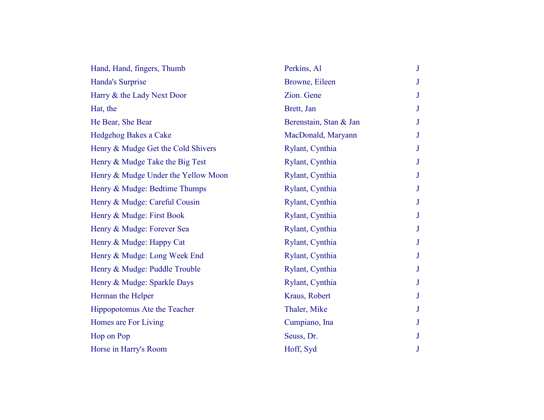| Hand, Hand, fingers, Thumb          | Perkins, Al            | J |  |
|-------------------------------------|------------------------|---|--|
| Handa's Surprise                    | Browne, Eileen         |   |  |
| Harry & the Lady Next Door          | Zion. Gene             |   |  |
| Hat, the                            | Brett, Jan             |   |  |
| He Bear, She Bear                   | Berenstain, Stan & Jan |   |  |
| Hedgehog Bakes a Cake               | MacDonald, Maryann     | J |  |
| Henry & Mudge Get the Cold Shivers  | Rylant, Cynthia        |   |  |
| Henry & Mudge Take the Big Test     | Rylant, Cynthia        |   |  |
| Henry & Mudge Under the Yellow Moon | Rylant, Cynthia        |   |  |
| Henry & Mudge: Bedtime Thumps       | Rylant, Cynthia        |   |  |
| Henry & Mudge: Careful Cousin       | Rylant, Cynthia        |   |  |
| Henry & Mudge: First Book           | Rylant, Cynthia        |   |  |
| Henry & Mudge: Forever Sea          | Rylant, Cynthia        |   |  |
| Henry & Mudge: Happy Cat            | Rylant, Cynthia        |   |  |
| Henry & Mudge: Long Week End        | Rylant, Cynthia        |   |  |
| Henry & Mudge: Puddle Trouble       | Rylant, Cynthia        | J |  |
| Henry & Mudge: Sparkle Days         | Rylant, Cynthia        |   |  |
| Herman the Helper                   | Kraus, Robert          |   |  |
| Hippopotomus Ate the Teacher        | Thaler, Mike           | J |  |
| Homes are For Living                | Cumpiano, Ina          |   |  |
| Hop on Pop                          | Seuss, Dr.             |   |  |
| Horse in Harry's Room               | Hoff, Syd              |   |  |
|                                     |                        |   |  |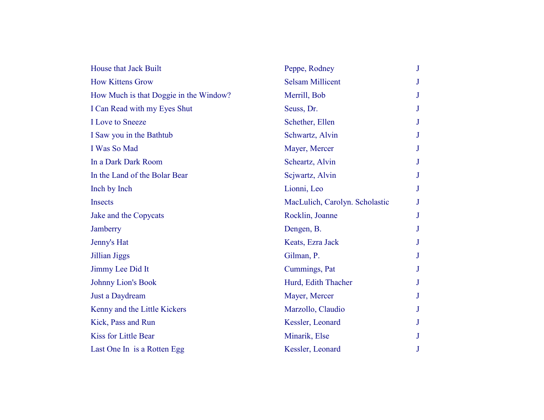| House that Jack Built                  | Peppe, Rodney                  | J |
|----------------------------------------|--------------------------------|---|
| <b>How Kittens Grow</b>                | <b>Selsam Millicent</b>        |   |
| How Much is that Doggie in the Window? | Merrill, Bob                   |   |
| I Can Read with my Eyes Shut           | Seuss, Dr.                     |   |
| <b>I</b> Love to Sneeze                | Schether, Ellen                |   |
| I Saw you in the Bathtub               | Schwartz, Alvin                |   |
| I Was So Mad                           | Mayer, Mercer                  |   |
| In a Dark Dark Room                    | Scheartz, Alvin                |   |
| In the Land of the Bolar Bear          | Scjwartz, Alvin                |   |
| Inch by Inch                           | Lionni, Leo                    |   |
| <b>Insects</b>                         | MacLulich, Carolyn. Scholastic |   |
| Jake and the Copycats                  | Rocklin, Joanne                |   |
| Jamberry                               | Dengen, B.                     |   |
| Jenny's Hat                            | Keats, Ezra Jack               |   |
| Jillian Jiggs                          | Gilman, P.                     |   |
| Jimmy Lee Did It                       | Cummings, Pat                  |   |
| <b>Johnny Lion's Book</b>              | Hurd, Edith Thacher            |   |
| Just a Daydream                        | Mayer, Mercer                  |   |
| Kenny and the Little Kickers           | Marzollo, Claudio              |   |
| Kick, Pass and Run                     | Kessler, Leonard               |   |
| <b>Kiss for Little Bear</b>            | Minarik, Else                  |   |
| Last One In is a Rotten Egg            | Kessler, Leonard               |   |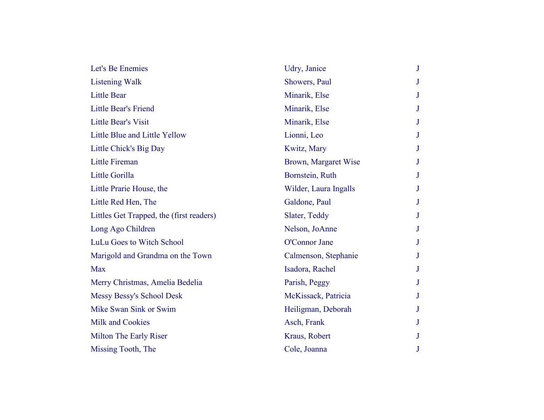| Let's Be Enemies                         | Udry, Janice          | J |
|------------------------------------------|-----------------------|---|
| <b>Listening Walk</b>                    | Showers, Paul         |   |
| <b>Little Bear</b>                       | Minarik, Else         |   |
| Little Bear's Friend                     | Minarik, Else         |   |
| <b>Little Bear's Visit</b>               | Minarik, Else         |   |
| Little Blue and Little Yellow            | Lionni, Leo           |   |
| Little Chick's Big Day                   | Kwitz, Mary           |   |
| <b>Little Fireman</b>                    | Brown, Margaret Wise  |   |
| Little Gorilla                           | Bornstein, Ruth       | J |
| Little Prarie House, the                 | Wilder, Laura Ingalls |   |
| Little Red Hen, The                      | Galdone, Paul         |   |
| Littles Get Trapped, the (first readers) | Slater, Teddy         |   |
| Long Ago Children                        | Nelson, JoAnne        |   |
| LuLu Goes to Witch School                | O'Connor Jane         |   |
| Marigold and Grandma on the Town         | Calmenson, Stephanie  |   |
| <b>Max</b>                               | Isadora, Rachel       |   |
| Merry Christmas, Amelia Bedelia          | Parish, Peggy         |   |
| Messy Bessy's School Desk                | McKissack, Patricia   |   |
| Mike Swan Sink or Swim                   | Heiligman, Deborah    |   |
| <b>Milk and Cookies</b>                  | Asch, Frank           |   |
| <b>Milton The Early Riser</b>            | Kraus, Robert         |   |
| Missing Tooth, The                       | Cole, Joanna          |   |
|                                          |                       |   |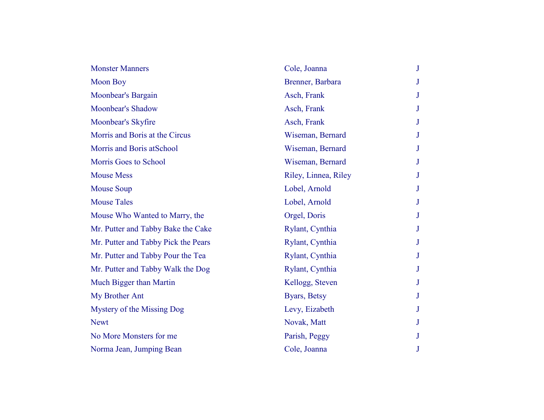| <b>Monster Manners</b>              | Cole, Joanna         | J |
|-------------------------------------|----------------------|---|
| <b>Moon Boy</b>                     | Brenner, Barbara     | J |
| Moonbear's Bargain                  | Asch, Frank          | J |
| <b>Moonbear's Shadow</b>            | Asch, Frank          |   |
| Moonbear's Skyfire                  | Asch, Frank          | J |
| Morris and Boris at the Circus      | Wiseman, Bernard     | J |
| Morris and Boris atSchool           | Wiseman, Bernard     | J |
| Morris Goes to School               | Wiseman, Bernard     |   |
| <b>Mouse Mess</b>                   | Riley, Linnea, Riley | J |
| <b>Mouse Soup</b>                   | Lobel, Arnold        | J |
| <b>Mouse Tales</b>                  | Lobel, Arnold        | J |
| Mouse Who Wanted to Marry, the      | Orgel, Doris         | J |
| Mr. Putter and Tabby Bake the Cake  | Rylant, Cynthia      |   |
| Mr. Putter and Tabby Pick the Pears | Rylant, Cynthia      | J |
| Mr. Putter and Tabby Pour the Tea   | Rylant, Cynthia      | J |
| Mr. Putter and Tabby Walk the Dog   | Rylant, Cynthia      | J |
| Much Bigger than Martin             | Kellogg, Steven      | J |
| My Brother Ant                      | Byars, Betsy         | J |
| Mystery of the Missing Dog          | Levy, Eizabeth       | J |
| <b>Newt</b>                         | Novak, Matt          |   |
| No More Monsters for me             | Parish, Peggy        | J |
| Norma Jean, Jumping Bean            | Cole, Joanna         | J |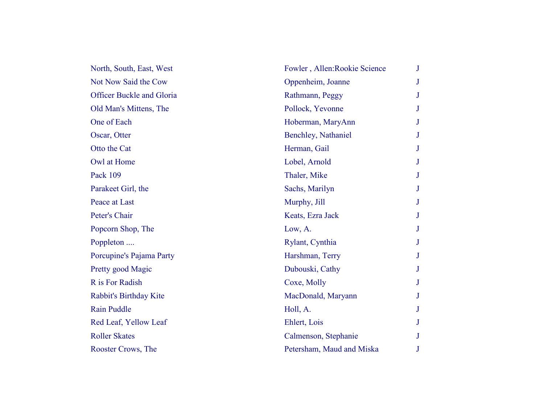| North, South, East, West         | Fowler, Allen: Rookie Science | J            |
|----------------------------------|-------------------------------|--------------|
| Not Now Said the Cow             | Oppenheim, Joanne             | J            |
| <b>Officer Buckle and Gloria</b> | Rathmann, Peggy               | J            |
| Old Man's Mittens, The           | Pollock, Yevonne              | J            |
| One of Each                      | Hoberman, MaryAnn             | J            |
| Oscar, Otter                     | Benchley, Nathaniel           | J            |
| Otto the Cat                     | Herman, Gail                  | J            |
| Owl at Home                      | Lobel, Arnold                 | J            |
| Pack 109                         | Thaler, Mike                  | J            |
| Parakeet Girl, the               | Sachs, Marilyn                | J            |
| Peace at Last                    | Murphy, Jill                  | $\mathbf{J}$ |
| Peter's Chair                    | Keats, Ezra Jack              | J            |
| Popcorn Shop, The                | Low, A.                       | J            |
| Poppleton                        | Rylant, Cynthia               | J            |
| Porcupine's Pajama Party         | Harshman, Terry               | $\mathbf{J}$ |
| Pretty good Magic                | Dubouski, Cathy               | J            |
| R is For Radish                  | Coxe, Molly                   | J            |
| Rabbit's Birthday Kite           | MacDonald, Maryann            | J            |
| <b>Rain Puddle</b>               | Holl, A.                      | J            |
| Red Leaf, Yellow Leaf            | Ehlert, Lois                  |              |
| <b>Roller Skates</b>             | Calmenson, Stephanie          | J            |
| Rooster Crows, The               | Petersham, Maud and Miska     | J            |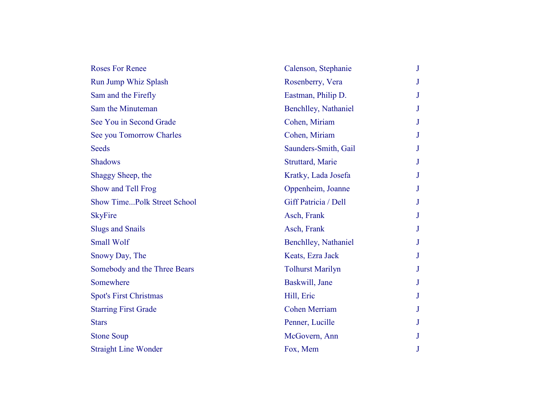| <b>Roses For Renee</b>             | Calenson, Stephanie     | $\mathbf{J}$ |
|------------------------------------|-------------------------|--------------|
| <b>Run Jump Whiz Splash</b>        | Rosenberry, Vera        | J            |
| Sam and the Firefly                | Eastman, Philip D.      | J            |
| Sam the Minuteman                  | Benchlley, Nathaniel    | J            |
| See You in Second Grade            | Cohen, Miriam           | J            |
| See you Tomorrow Charles           | Cohen, Miriam           | J            |
| <b>Seeds</b>                       | Saunders-Smith, Gail    | J            |
| <b>Shadows</b>                     | Struttard, Marie        | J            |
| Shaggy Sheep, the                  | Kratky, Lada Josefa     | J            |
| Show and Tell Frog                 | Oppenheim, Joanne       | J            |
| <b>Show TimePolk Street School</b> | Giff Patricia / Dell    | J            |
| <b>SkyFire</b>                     | Asch, Frank             | J            |
| <b>Slugs and Snails</b>            | Asch, Frank             | J            |
| <b>Small Wolf</b>                  | Benchlley, Nathaniel    | J            |
| Snowy Day, The                     | Keats, Ezra Jack        | J            |
| Somebody and the Three Bears       | <b>Tolhurst Marilyn</b> | J            |
| Somewhere                          | Baskwill, Jane          | J            |
| <b>Spot's First Christmas</b>      | Hill, Eric              | J            |
| <b>Starring First Grade</b>        | <b>Cohen Merriam</b>    | J            |
| <b>Stars</b>                       | Penner, Lucille         | J            |
| <b>Stone Soup</b>                  | McGovern, Ann           | J            |
| <b>Straight Line Wonder</b>        | Fox, Mem                | J            |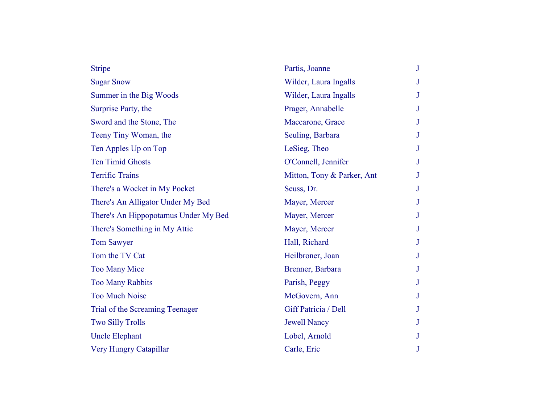| <b>Stripe</b>                        | Partis, Joanne             |  |
|--------------------------------------|----------------------------|--|
| <b>Sugar Snow</b>                    | Wilder, Laura Ingalls      |  |
| Summer in the Big Woods              | Wilder, Laura Ingalls      |  |
| Surprise Party, the                  | Prager, Annabelle          |  |
| Sword and the Stone, The             | Maccarone, Grace           |  |
| Teeny Tiny Woman, the                | Seuling, Barbara           |  |
| Ten Apples Up on Top                 | LeSieg, Theo               |  |
| <b>Ten Timid Ghosts</b>              | O'Connell, Jennifer        |  |
| <b>Terrific Trains</b>               | Mitton, Tony & Parker, Ant |  |
| There's a Wocket in My Pocket        | Seuss, Dr.                 |  |
| There's An Alligator Under My Bed    | Mayer, Mercer              |  |
| There's An Hippopotamus Under My Bed | Mayer, Mercer              |  |
| There's Something in My Attic        | Mayer, Mercer              |  |
| <b>Tom Sawyer</b>                    | Hall, Richard              |  |
| Tom the TV Cat                       | Heilbroner, Joan           |  |
| <b>Too Many Mice</b>                 | Brenner, Barbara           |  |
| <b>Too Many Rabbits</b>              | Parish, Peggy              |  |
| <b>Too Much Noise</b>                | McGovern, Ann              |  |
| Trial of the Screaming Teenager      | Giff Patricia / Dell       |  |
| <b>Two Silly Trolls</b>              | <b>Jewell Nancy</b>        |  |
| <b>Uncle Elephant</b>                | Lobel, Arnold              |  |
| Very Hungry Catapillar               | Carle, Eric                |  |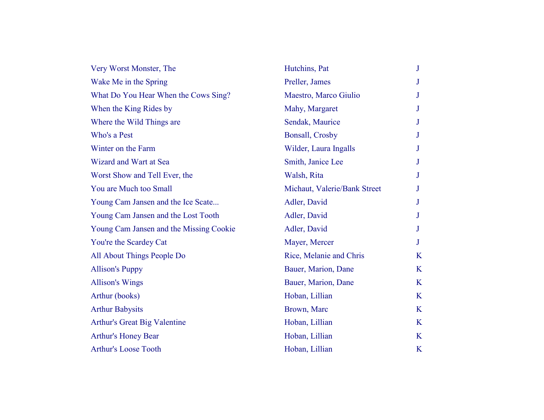| Very Worst Monster, The                 | Hutchins, Pat                | J |
|-----------------------------------------|------------------------------|---|
| Wake Me in the Spring                   | Preller, James               | J |
| What Do You Hear When the Cows Sing?    | Maestro, Marco Giulio        | J |
| When the King Rides by                  | Mahy, Margaret               | J |
| Where the Wild Things are               | Sendak, Maurice              | J |
| Who's a Pest                            | <b>Bonsall, Crosby</b>       | J |
| Winter on the Farm                      | Wilder, Laura Ingalls        | J |
| Wizard and Wart at Sea                  | Smith, Janice Lee            | J |
| Worst Show and Tell Ever, the           | Walsh, Rita                  | J |
| You are Much too Small                  | Michaut, Valerie/Bank Street | J |
| Young Cam Jansen and the Ice Scate      | Adler, David                 | J |
| Young Cam Jansen and the Lost Tooth     | Adler, David                 | J |
| Young Cam Jansen and the Missing Cookie | Adler, David                 | J |
| You're the Scardey Cat                  | Mayer, Mercer                | J |
| All About Things People Do              | Rice, Melanie and Chris      | K |
| <b>Allison's Puppy</b>                  | Bauer, Marion, Dane          | K |
| <b>Allison's Wings</b>                  | Bauer, Marion, Dane          | K |
| Arthur (books)                          | Hoban, Lillian               | K |
| <b>Arthur Babysits</b>                  | Brown, Marc                  | K |
| Arthur's Great Big Valentine            | Hoban, Lillian               | K |
| <b>Arthur's Honey Bear</b>              | Hoban, Lillian               | K |
| <b>Arthur's Loose Tooth</b>             | Hoban, Lillian               | K |
|                                         |                              |   |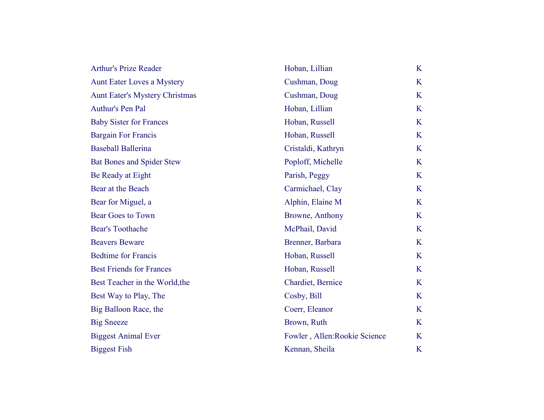| <b>Arthur's Prize Reader</b>          | Hoban, Lillian                | K |
|---------------------------------------|-------------------------------|---|
| <b>Aunt Eater Loves a Mystery</b>     | Cushman, Doug                 | K |
| <b>Aunt Eater's Mystery Christmas</b> | Cushman, Doug                 | K |
| Authur's Pen Pal                      | Hoban, Lillian                | K |
| <b>Baby Sister for Frances</b>        | Hoban, Russell                | K |
| <b>Bargain For Francis</b>            | Hoban, Russell                | K |
| <b>Baseball Ballerina</b>             | Cristaldi, Kathryn            | K |
| <b>Bat Bones and Spider Stew</b>      | Poploff, Michelle             | K |
| Be Ready at Eight                     | Parish, Peggy                 | K |
| Bear at the Beach                     | Carmichael, Clay              | K |
| Bear for Miguel, a                    | Alphin, Elaine M              | K |
| <b>Bear Goes to Town</b>              | Browne, Anthony               | K |
| <b>Bear's Toothache</b>               | McPhail, David                | K |
| <b>Beavers Beware</b>                 | Brenner, Barbara              | K |
| <b>Bedtime for Francis</b>            | Hoban, Russell                | K |
| <b>Best Friends for Frances</b>       | Hoban, Russell                | K |
| Best Teacher in the World, the        | Chardiet, Bernice             | K |
| Best Way to Play, The                 | Cosby, Bill                   | K |
| Big Balloon Race, the                 | Coerr, Eleanor                | K |
| <b>Big Sneeze</b>                     | Brown, Ruth                   | K |
| <b>Biggest Animal Ever</b>            | Fowler, Allen: Rookie Science | K |
| <b>Biggest Fish</b>                   | Kennan, Sheila                | K |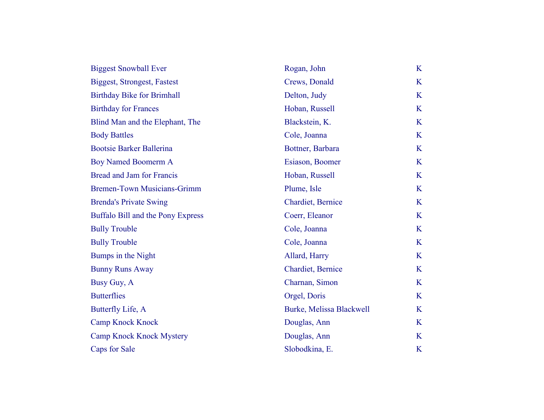| <b>Biggest Snowball Ever</b>       | Rogan, John              | K |
|------------------------------------|--------------------------|---|
| Biggest, Strongest, Fastest        | Crews, Donald            | K |
| <b>Birthday Bike for Brimhall</b>  | Delton, Judy             | K |
| <b>Birthday for Frances</b>        | Hoban, Russell           | K |
| Blind Man and the Elephant, The    | Blackstein, K.           | K |
| <b>Body Battles</b>                | Cole, Joanna             | K |
| <b>Bootsie Barker Ballerina</b>    | Bottner, Barbara         | K |
| <b>Boy Named Boomerm A</b>         | Esiason, Boomer          | K |
| Bread and Jam for Francis          | Hoban, Russell           | K |
| <b>Bremen-Town Musicians-Grimm</b> | Plume, Isle              | K |
| <b>Brenda's Private Swing</b>      | Chardiet, Bernice        | K |
| Buffalo Bill and the Pony Express  | Coerr, Eleanor           | K |
| <b>Bully Trouble</b>               | Cole, Joanna             | K |
| <b>Bully Trouble</b>               | Cole, Joanna             | K |
| Bumps in the Night                 | Allard, Harry            | K |
| <b>Bunny Runs Away</b>             | Chardiet, Bernice        | K |
| Busy Guy, A                        | Charnan, Simon           | K |
| <b>Butterflies</b>                 | Orgel, Doris             | K |
| Butterfly Life, A                  | Burke, Melissa Blackwell | K |
| <b>Camp Knock Knock</b>            | Douglas, Ann             | K |
| <b>Camp Knock Knock Mystery</b>    | Douglas, Ann             | K |
| Caps for Sale                      | Slobodkina, E.           | K |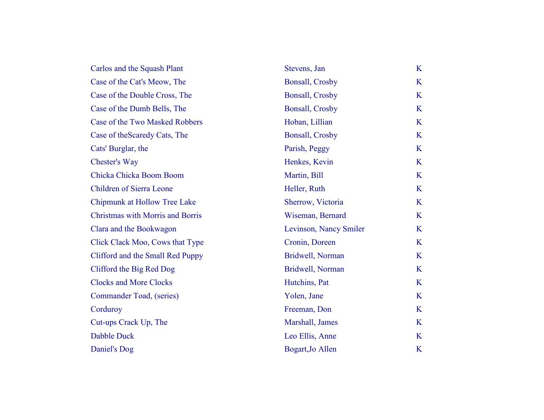| Stevens, Jan           | K |
|------------------------|---|
| <b>Bonsall, Crosby</b> | K |
| <b>Bonsall, Crosby</b> | K |
| <b>Bonsall, Crosby</b> | K |
| Hoban, Lillian         | K |
| <b>Bonsall, Crosby</b> | K |
| Parish, Peggy          | K |
| Henkes, Kevin          | K |
| Martin, Bill           | K |
| Heller, Ruth           | K |
| Sherrow, Victoria      | K |
| Wiseman, Bernard       | K |
| Levinson, Nancy Smiler | K |
| Cronin, Doreen         | K |
| Bridwell, Norman       | K |
| Bridwell, Norman       | K |
| Hutchins, Pat          | K |
| Yolen, Jane            | K |
| Freeman, Don           | K |
| Marshall, James        | K |
| Leo Ellis, Anne        | K |
| Bogart, Jo Allen       | K |
|                        |   |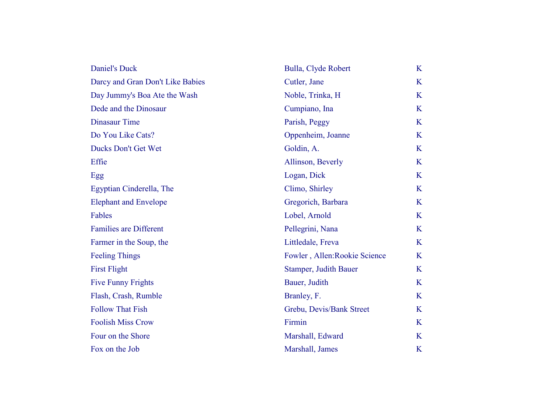| <b>Daniel's Duck</b>             | Bulla, Clyde Robert           | K |
|----------------------------------|-------------------------------|---|
| Darcy and Gran Don't Like Babies | Cutler, Jane                  | K |
| Day Jummy's Boa Ate the Wash     | Noble, Trinka, H              | K |
| Dede and the Dinosaur            | Cumpiano, Ina                 | K |
| <b>Dinasaur Time</b>             | Parish, Peggy                 | K |
| Do You Like Cats?                | Oppenheim, Joanne             | K |
| Ducks Don't Get Wet              | Goldin, A.                    | K |
| Effie                            | Allinson, Beverly             | K |
| Egg                              | Logan, Dick                   | K |
| Egyptian Cinderella, The         | Climo, Shirley                | K |
| <b>Elephant and Envelope</b>     | Gregorich, Barbara            | K |
| Fables                           | Lobel, Arnold                 | K |
| <b>Families are Different</b>    | Pellegrini, Nana              | K |
| Farmer in the Soup, the          | Littledale, Freva             | K |
| <b>Feeling Things</b>            | Fowler, Allen: Rookie Science | K |
| <b>First Flight</b>              | Stamper, Judith Bauer         | K |
| <b>Five Funny Frights</b>        | Bauer, Judith                 | K |
| Flash, Crash, Rumble             | Branley, F.                   | K |
| <b>Follow That Fish</b>          | Grebu, Devis/Bank Street      | K |
| <b>Foolish Miss Crow</b>         | Firmin                        | K |
| Four on the Shore                | Marshall, Edward              | K |
| Fox on the Job                   | Marshall, James               | K |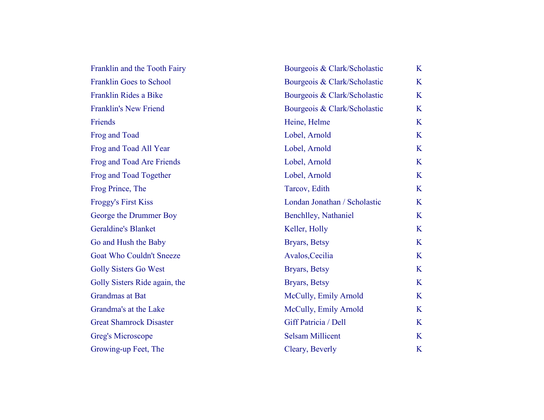| Franklin and the Tooth Fairy   | Bourgeois & Clark/Scholastic | K |
|--------------------------------|------------------------------|---|
| <b>Franklin Goes to School</b> | Bourgeois & Clark/Scholastic | K |
| Franklin Rides a Bike          | Bourgeois & Clark/Scholastic | K |
| <b>Franklin's New Friend</b>   | Bourgeois & Clark/Scholastic | K |
| Friends                        | Heine, Helme                 | K |
| Frog and Toad                  | Lobel, Arnold                | K |
| Frog and Toad All Year         | Lobel, Arnold                | K |
| Frog and Toad Are Friends      | Lobel, Arnold                | K |
| Frog and Toad Together         | Lobel, Arnold                | K |
| Frog Prince, The               | Tarcov, Edith                | K |
| <b>Froggy's First Kiss</b>     | Londan Jonathan / Scholastic | K |
| George the Drummer Boy         | Benchlley, Nathaniel         | K |
| <b>Geraldine's Blanket</b>     | Keller, Holly                | K |
| Go and Hush the Baby           | Bryars, Betsy                | K |
| Goat Who Couldn't Sneeze       | Avalos, Cecilia              | K |
| <b>Golly Sisters Go West</b>   | Bryars, Betsy                | K |
| Golly Sisters Ride again, the  | Bryars, Betsy                | K |
| Grandmas at Bat                | McCully, Emily Arnold        | K |
| Grandma's at the Lake          | McCully, Emily Arnold        | K |
| <b>Great Shamrock Disaster</b> | Giff Patricia / Dell         | K |
| <b>Greg's Microscope</b>       | <b>Selsam Millicent</b>      | K |
| Growing-up Feet, The           | Cleary, Beverly              | K |
|                                |                              |   |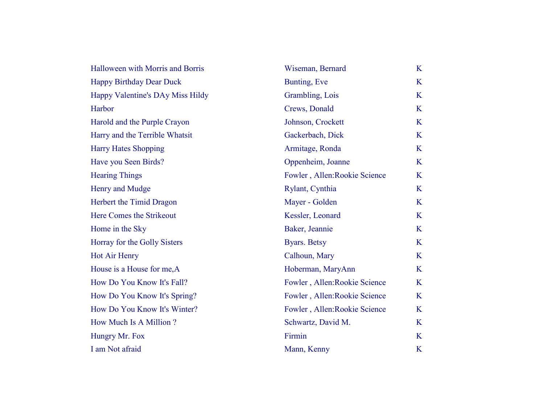| Halloween with Morris and Borris | Wiseman, Bernard              | K |
|----------------------------------|-------------------------------|---|
| <b>Happy Birthday Dear Duck</b>  | Bunting, Eve                  | K |
| Happy Valentine's DAy Miss Hildy | Grambling, Lois               | K |
| Harbor                           | Crews, Donald                 | K |
| Harold and the Purple Crayon     | Johnson, Crockett             | K |
| Harry and the Terrible Whatsit   | Gackerbach, Dick              | K |
| <b>Harry Hates Shopping</b>      | Armitage, Ronda               | K |
| Have you Seen Birds?             | Oppenheim, Joanne             | K |
| <b>Hearing Things</b>            | Fowler, Allen: Rookie Science | K |
| Henry and Mudge                  | Rylant, Cynthia               | K |
| Herbert the Timid Dragon         | Mayer - Golden                | K |
| Here Comes the Strikeout         | Kessler, Leonard              | K |
| Home in the Sky                  | Baker, Jeannie                | K |
| Horray for the Golly Sisters     | <b>Byars.</b> Betsy           | K |
| <b>Hot Air Henry</b>             | Calhoun, Mary                 | K |
| House is a House for me, A       | Hoberman, MaryAnn             | K |
| How Do You Know It's Fall?       | Fowler, Allen: Rookie Science | K |
| How Do You Know It's Spring?     | Fowler, Allen: Rookie Science | K |
| How Do You Know It's Winter?     | Fowler, Allen: Rookie Science | K |
| How Much Is A Million?           | Schwartz, David M.            | K |
| Hungry Mr. Fox                   | Firmin                        | K |
| I am Not afraid                  | Mann, Kenny                   | K |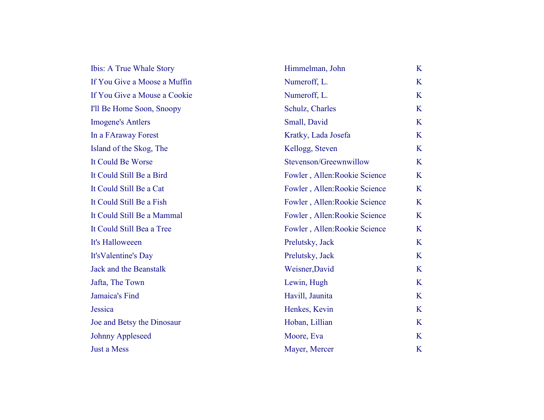| Ibis: A True Whale Story     | Himmelman, John               | K |
|------------------------------|-------------------------------|---|
| If You Give a Moose a Muffin | Numeroff, L.                  | K |
| If You Give a Mouse a Cookie | Numeroff, L.                  | K |
| I'll Be Home Soon, Snoopy    | Schulz, Charles               | K |
| <b>Imogene's Antlers</b>     | Small, David                  | K |
| In a FAraway Forest          | Kratky, Lada Josefa           | K |
| Island of the Skog, The      | Kellogg, Steven               | K |
| It Could Be Worse            | Stevenson/Greewnwillow        | K |
| It Could Still Be a Bird     | Fowler, Allen: Rookie Science | K |
| It Could Still Be a Cat      | Fowler, Allen: Rookie Science | K |
| It Could Still Be a Fish     | Fowler, Allen: Rookie Science | K |
| It Could Still Be a Mammal   | Fowler, Allen: Rookie Science | K |
| It Could Still Bea a Tree    | Fowler, Allen: Rookie Science | K |
| It's Halloweeen              | Prelutsky, Jack               | K |
| It's Valentine's Day         | Prelutsky, Jack               | K |
| Jack and the Beanstalk       | Weisner, David                | K |
| Jafta, The Town              | Lewin, Hugh                   | K |
| Jamaica's Find               | Havill, Jaunita               | K |
| Jessica                      | Henkes, Kevin                 | K |
| Joe and Betsy the Dinosaur   | Hoban, Lillian                | K |
| <b>Johnny Appleseed</b>      | Moore, Eva                    | K |
| <b>Just a Mess</b>           | Mayer, Mercer                 | K |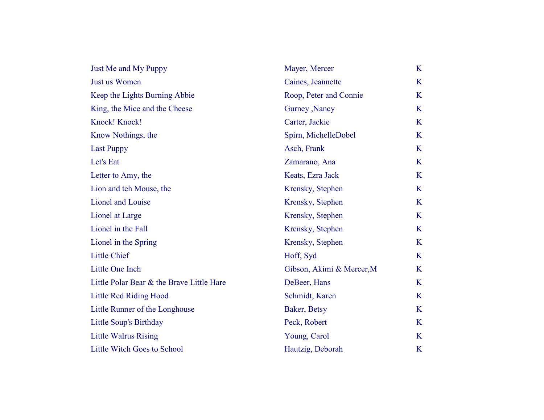| Just Me and My Puppy                      | Mayer, Mercer             | K       |
|-------------------------------------------|---------------------------|---------|
| Just us Women                             | Caines, Jeannette         | K       |
| Keep the Lights Burning Abbie             | Roop, Peter and Connie    | K       |
| King, the Mice and the Cheese             | Gurney , Nancy            | K       |
| Knock! Knock!                             | Carter, Jackie            | K       |
| Know Nothings, the                        | Spirn, MichelleDobel      | K       |
| <b>Last Puppy</b>                         | Asch, Frank               | K       |
| Let's Eat                                 | Zamarano, Ana             | K       |
| Letter to Amy, the                        | Keats, Ezra Jack          | K       |
| Lion and teh Mouse, the                   | Krensky, Stephen          | K       |
| Lionel and Louise                         | Krensky, Stephen          | K       |
| Lionel at Large                           | Krensky, Stephen          | K       |
| Lionel in the Fall                        | Krensky, Stephen          | K       |
| Lionel in the Spring                      | Krensky, Stephen          | K       |
| <b>Little Chief</b>                       | Hoff, Syd                 | K       |
| Little One Inch                           | Gibson, Akimi & Mercer, M | K       |
| Little Polar Bear & the Brave Little Hare | DeBeer, Hans              | K       |
| <b>Little Red Riding Hood</b>             | Schmidt, Karen            | K       |
| Little Runner of the Longhouse            | Baker, Betsy              | K       |
| Little Soup's Birthday                    | Peck, Robert              | K       |
| <b>Little Walrus Rising</b>               | Young, Carol              | K       |
| <b>Little Witch Goes to School</b>        | Hautzig, Deborah          | $\bf K$ |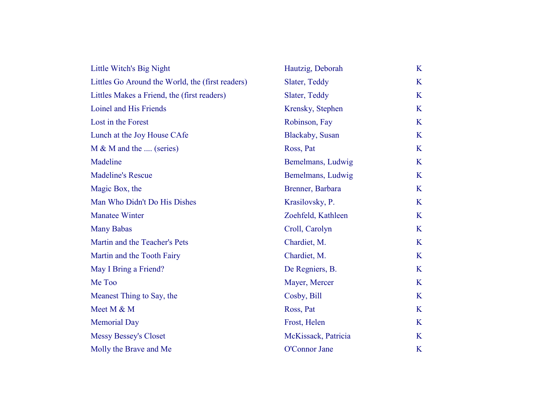| Little Witch's Big Night                         | Hautzig, Deborah        | K |
|--------------------------------------------------|-------------------------|---|
| Littles Go Around the World, the (first readers) | Slater, Teddy           | K |
| Littles Makes a Friend, the (first readers)      | Slater, Teddy           | K |
| Loinel and His Friends                           | Krensky, Stephen        | K |
| Lost in the Forest                               | Robinson, Fay           | K |
| Lunch at the Joy House CAfe                      | <b>Blackaby</b> , Susan | K |
| $M \& M$ and the  (series)                       | Ross, Pat               | K |
| Madeline                                         | Bemelmans, Ludwig       | K |
| <b>Madeline's Rescue</b>                         | Bemelmans, Ludwig       | K |
| Magic Box, the                                   | Brenner, Barbara        | K |
| Man Who Didn't Do His Dishes                     | Krasilovsky, P.         | K |
| <b>Manatee Winter</b>                            | Zoehfeld, Kathleen      | K |
| <b>Many Babas</b>                                | Croll, Carolyn          | K |
| Martin and the Teacher's Pets                    | Chardiet, M.            | K |
| Martin and the Tooth Fairy                       | Chardiet, M.            | K |
| May I Bring a Friend?                            | De Regniers, B.         | K |
| Me Too                                           | Mayer, Mercer           | K |
| Meanest Thing to Say, the                        | Cosby, Bill             | K |
| Meet M & M                                       | Ross, Pat               | K |
| <b>Memorial Day</b>                              | Frost, Helen            | K |
| <b>Messy Bessey's Closet</b>                     | McKissack, Patricia     | K |
| Molly the Brave and Me                           | O'Connor Jane           | K |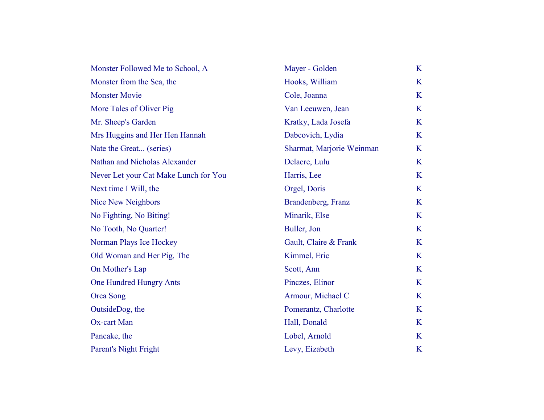| Monster Followed Me to School, A      | Mayer - Golden            | K       |
|---------------------------------------|---------------------------|---------|
| Monster from the Sea, the             | Hooks, William            | K       |
| <b>Monster Movie</b>                  | Cole, Joanna              | K       |
| More Tales of Oliver Pig              | Van Leeuwen, Jean         | K       |
| Mr. Sheep's Garden                    | Kratky, Lada Josefa       | K       |
| Mrs Huggins and Her Hen Hannah        | Dabcovich, Lydia          | K       |
| Nate the Great (series)               | Sharmat, Marjorie Weinman | K       |
| Nathan and Nicholas Alexander         | Delacre, Lulu             | K       |
| Never Let your Cat Make Lunch for You | Harris, Lee               | K       |
| Next time I Will, the                 | Orgel, Doris              | K       |
| <b>Nice New Neighbors</b>             | Brandenberg, Franz        | K       |
| No Fighting, No Biting!               | Minarik, Else             | K       |
| No Tooth, No Quarter!                 | Buller, Jon               | K       |
| Norman Plays Ice Hockey               | Gault, Claire & Frank     | K       |
| Old Woman and Her Pig, The            | Kimmel, Eric              | K       |
| On Mother's Lap                       | Scott, Ann                | K       |
| One Hundred Hungry Ants               | Pinczes, Elinor           | K       |
| Orca Song                             | Armour, Michael C         | K       |
| OutsideDog, the                       | Pomerantz, Charlotte      | K       |
| Ox-cart Man                           | Hall, Donald              | K       |
| Pancake, the                          | Lobel, Arnold             | K       |
| Parent's Night Fright                 | Levy, Eizabeth            | $\bf K$ |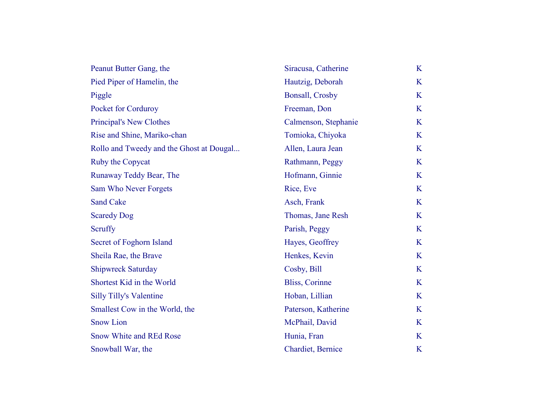| Peanut Butter Gang, the                  | Siracusa, Catherine    | K       |
|------------------------------------------|------------------------|---------|
| Pied Piper of Hamelin, the               | Hautzig, Deborah       | K       |
| Piggle                                   | <b>Bonsall, Crosby</b> | K       |
| Pocket for Corduroy                      | Freeman, Don           | K       |
| <b>Principal's New Clothes</b>           | Calmenson, Stephanie   | K       |
| Rise and Shine, Mariko-chan              | Tomioka, Chiyoka       | K       |
| Rollo and Tweedy and the Ghost at Dougal | Allen, Laura Jean      | K       |
| Ruby the Copycat                         | Rathmann, Peggy        | K       |
| Runaway Teddy Bear, The                  | Hofmann, Ginnie        | K       |
| Sam Who Never Forgets                    | Rice, Eve              | K       |
| <b>Sand Cake</b>                         | Asch, Frank            | K       |
| <b>Scaredy Dog</b>                       | Thomas, Jane Resh      | K       |
| <b>Scruffy</b>                           | Parish, Peggy          | K       |
| Secret of Foghorn Island                 | Hayes, Geoffrey        | K       |
| Sheila Rae, the Brave                    | Henkes, Kevin          | K       |
| <b>Shipwreck Saturday</b>                | Cosby, Bill            | K       |
| Shortest Kid in the World                | <b>Bliss, Corinne</b>  | K       |
| <b>Silly Tilly's Valentine</b>           | Hoban, Lillian         | K       |
| Smallest Cow in the World, the           | Paterson, Katherine    | K       |
| <b>Snow Lion</b>                         | McPhail, David         | K       |
| <b>Snow White and REd Rose</b>           | Hunia, Fran            | K       |
| Snowball War, the                        | Chardiet, Bernice      | $\bf K$ |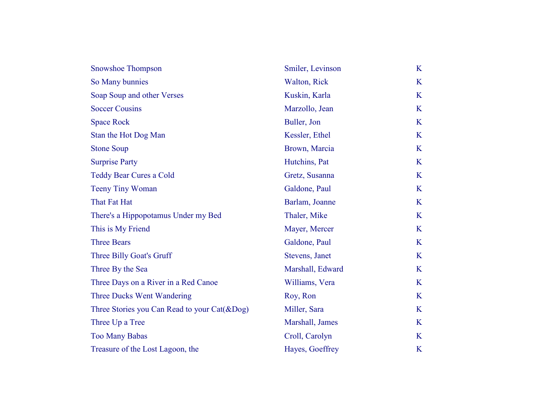| <b>Snowshoe Thompson</b>                        | Smiler, Levinson | K |
|-------------------------------------------------|------------------|---|
| So Many bunnies                                 | Walton, Rick     | K |
| Soap Soup and other Verses                      | Kuskin, Karla    | K |
| <b>Soccer Cousins</b>                           | Marzollo, Jean   | K |
| <b>Space Rock</b>                               | Buller, Jon      | K |
| Stan the Hot Dog Man                            | Kessler, Ethel   | K |
| <b>Stone Soup</b>                               | Brown, Marcia    | K |
| <b>Surprise Party</b>                           | Hutchins, Pat    | K |
| <b>Teddy Bear Cures a Cold</b>                  | Gretz, Susanna   | K |
| <b>Teeny Tiny Woman</b>                         | Galdone, Paul    | K |
| That Fat Hat                                    | Barlam, Joanne   | K |
| There's a Hippopotamus Under my Bed             | Thaler, Mike     | K |
| This is My Friend                               | Mayer, Mercer    | K |
| <b>Three Bears</b>                              | Galdone, Paul    | K |
| Three Billy Goat's Gruff                        | Stevens, Janet   | K |
| Three By the Sea                                | Marshall, Edward | K |
| Three Days on a River in a Red Canoe            | Williams, Vera   | K |
| Three Ducks Went Wandering                      | Roy, Ron         | K |
| Three Stories you Can Read to your $Cat(\&Dog)$ | Miller, Sara     | K |
| Three Up a Tree                                 | Marshall, James  | K |
| <b>Too Many Babas</b>                           | Croll, Carolyn   | K |
| Treasure of the Lost Lagoon, the                | Hayes, Goeffrey  | K |
|                                                 |                  |   |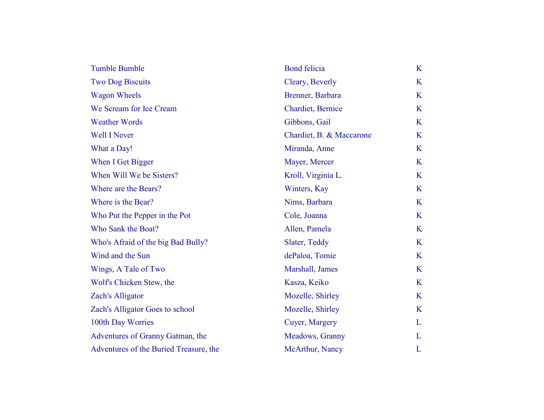| <b>Tumble Bumble</b>                   | <b>Bond felicia</b>      | K |
|----------------------------------------|--------------------------|---|
| <b>Two Dog Biscuits</b>                | Cleary, Beverly          | K |
| <b>Wagon Wheels</b>                    | Brenner, Barbara         | K |
| We Scream for Ice Cream                | Chardiet, Bernice        | K |
| <b>Weather Words</b>                   | Gibbons, Gail            | K |
| <b>Well I Never</b>                    | Chardiet, B. & Maccarone | K |
| What a Day!                            | Miranda, Anne            | K |
| When I Get Bigger                      | Mayer, Mercer            | K |
| When Will We be Sisters?               | Kroll, Virginia L.       | K |
| Where are the Bears?                   | Winters, Kay             | K |
| Where is the Bear?                     | Nims, Barbara            | K |
| Who Put the Pepper in the Pot          | Cole, Joanna             | K |
| Who Sank the Boat?                     | Allen, Pamela            | K |
| Who's Afraid of the big Bad Bully?     | Slater, Teddy            | K |
| Wind and the Sun                       | dePaloa, Tomie           | K |
| Wings, A Tale of Two                   | Marshall, James          | K |
| Wolf's Chicken Stew, the               | Kasza, Keiko             | K |
| Zach's Alligator                       | Mozelle, Shirley         | K |
| Zach's Alligator Goes to school        | Mozelle, Shirley         | K |
| 100th Day Worries                      | Cuyer, Margery           | L |
| Adventures of Granny Gatman, the       | Meadows, Granny          | L |
| Adventures of the Buried Treasure, the | McArthur, Nancy          | L |
|                                        |                          |   |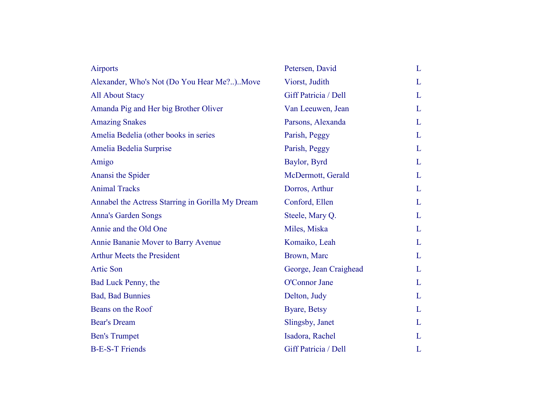| <b>Airports</b>                                  | Petersen, David        | L |
|--------------------------------------------------|------------------------|---|
| Alexander, Who's Not (Do You Hear Me?)Move       | Viorst, Judith         | L |
| <b>All About Stacy</b>                           | Giff Patricia / Dell   | L |
| Amanda Pig and Her big Brother Oliver            | Van Leeuwen, Jean      | L |
| <b>Amazing Snakes</b>                            | Parsons, Alexanda      | L |
| Amelia Bedelia (other books in series            | Parish, Peggy          | L |
| Amelia Bedelia Surprise                          | Parish, Peggy          | L |
| Amigo                                            | Baylor, Byrd           | L |
| Anansi the Spider                                | McDermott, Gerald      | L |
| <b>Animal Tracks</b>                             | Dorros, Arthur         | L |
| Annabel the Actress Starring in Gorilla My Dream | Conford, Ellen         | L |
| <b>Anna's Garden Songs</b>                       | Steele, Mary Q.        | L |
| Annie and the Old One                            | Miles, Miska           | L |
| Annie Bananie Mover to Barry Avenue              | Komaiko, Leah          | L |
| <b>Arthur Meets the President</b>                | Brown, Marc            | L |
| <b>Artic Son</b>                                 | George, Jean Craighead | L |
| Bad Luck Penny, the                              | O'Connor Jane          | L |
| <b>Bad, Bad Bunnies</b>                          | Delton, Judy           | L |
| Beans on the Roof                                | Byare, Betsy           | L |
| <b>Bear's Dream</b>                              | Slingsby, Janet        | L |
| <b>Ben's Trumpet</b>                             | Isadora, Rachel        | L |
| <b>B-E-S-T Friends</b>                           | Giff Patricia / Dell   | L |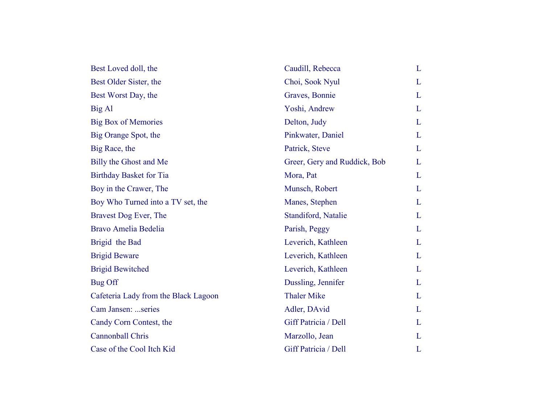| Best Loved doll, the                 | Caudill, Rebecca             | L |
|--------------------------------------|------------------------------|---|
| Best Older Sister, the               | Choi, Sook Nyul              | L |
| Best Worst Day, the                  | Graves, Bonnie               | L |
| Big Al                               | Yoshi, Andrew                | L |
| <b>Big Box of Memories</b>           | Delton, Judy                 | L |
| Big Orange Spot, the                 | Pinkwater, Daniel            | L |
| Big Race, the                        | Patrick, Steve               | L |
| Billy the Ghost and Me               | Greer, Gery and Ruddick, Bob | L |
| <b>Birthday Basket for Tia</b>       | Mora, Pat                    | L |
| Boy in the Crawer, The               | Munsch, Robert               | L |
| Boy Who Turned into a TV set, the    | Manes, Stephen               | L |
| Bravest Dog Ever, The                | Standiford, Natalie          | L |
| Bravo Amelia Bedelia                 | Parish, Peggy                | L |
| Brigid the Bad                       | Leverich, Kathleen           | L |
| <b>Brigid Beware</b>                 | Leverich, Kathleen           | L |
| <b>Brigid Bewitched</b>              | Leverich, Kathleen           | L |
| Bug Off                              | Dussling, Jennifer           | L |
| Cafeteria Lady from the Black Lagoon | <b>Thaler Mike</b>           | L |
| Cam Jansen: series                   | Adler, DAvid                 | L |
| Candy Corn Contest, the              | Giff Patricia / Dell         | L |
| Cannonball Chris                     | Marzollo, Jean               | L |
| Case of the Cool Itch Kid            | Giff Patricia / Dell         | L |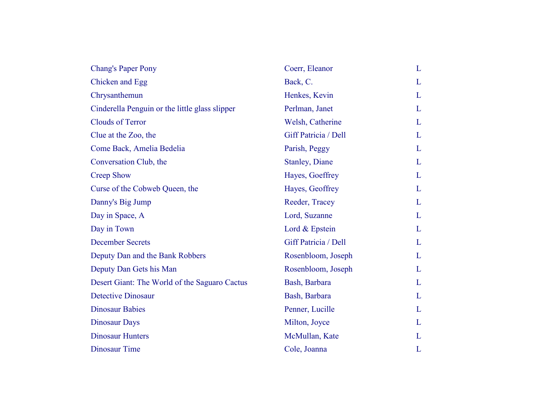| <b>Chang's Paper Pony</b>                      | Coerr, Eleanor         | L |
|------------------------------------------------|------------------------|---|
| Chicken and Egg                                | Back, C.               | L |
| Chrysanthemun                                  | Henkes, Kevin          | L |
| Cinderella Penguin or the little glass slipper | Perlman, Janet         | L |
| <b>Clouds of Terror</b>                        | Welsh, Catherine       | L |
| Clue at the Zoo, the                           | Giff Patricia / Dell   | L |
| Come Back, Amelia Bedelia                      | Parish, Peggy          | L |
| Conversation Club, the                         | <b>Stanley</b> , Diane | L |
| <b>Creep Show</b>                              | Hayes, Goeffrey        | L |
| Curse of the Cobweb Queen, the                 | Hayes, Geoffrey        | L |
| Danny's Big Jump                               | Reeder, Tracey         | L |
| Day in Space, A                                | Lord, Suzanne          | L |
| Day in Town                                    | Lord & Epstein         | L |
| <b>December Secrets</b>                        | Giff Patricia / Dell   | L |
| Deputy Dan and the Bank Robbers                | Rosenbloom, Joseph     | L |
| Deputy Dan Gets his Man                        | Rosenbloom, Joseph     | L |
| Desert Giant: The World of the Saguaro Cactus  | Bash, Barbara          | L |
| <b>Detective Dinosaur</b>                      | Bash, Barbara          | L |
| <b>Dinosaur Babies</b>                         | Penner, Lucille        | L |
| <b>Dinosaur Days</b>                           | Milton, Joyce          | L |
| <b>Dinosaur Hunters</b>                        | McMullan, Kate         | L |
| <b>Dinosaur Time</b>                           | Cole, Joanna           | L |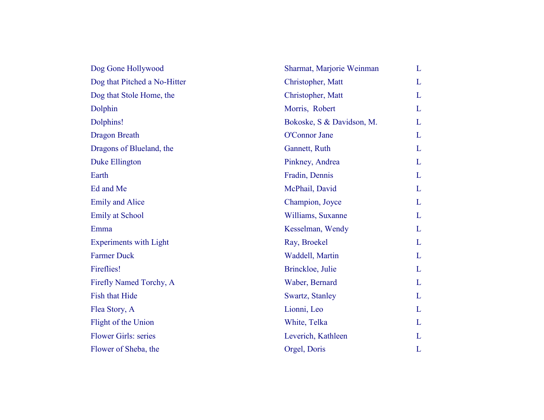| Dog Gone Hollywood            | Sharmat, Marjorie Weinman | L |
|-------------------------------|---------------------------|---|
| Dog that Pitched a No-Hitter  | Christopher, Matt         | L |
| Dog that Stole Home, the      | Christopher, Matt         | L |
| Dolphin                       | Morris, Robert            | L |
| Dolphins!                     | Bokoske, S & Davidson, M. | L |
| <b>Dragon Breath</b>          | O'Connor Jane             | L |
| Dragons of Blueland, the      | Gannett, Ruth             | L |
| Duke Ellington                | Pinkney, Andrea           | L |
| Earth                         | Fradin, Dennis            | L |
| Ed and Me                     | McPhail, David            | L |
| <b>Emily and Alice</b>        | Champion, Joyce           | L |
| <b>Emily at School</b>        | Williams, Suxanne         | L |
| Emma                          | Kesselman, Wendy          | L |
| <b>Experiments with Light</b> | Ray, Broekel              | L |
| <b>Farmer Duck</b>            | Waddell, Martin           | L |
| Fireflies!                    | Brinckloe, Julie          | L |
| Firefly Named Torchy, A       | Waber, Bernard            | L |
| <b>Fish that Hide</b>         | Swartz, Stanley           | L |
| Flea Story, A                 | Lionni, Leo               | L |
| Flight of the Union           | White, Telka              | L |
| <b>Flower Girls: series</b>   | Leverich, Kathleen        | L |
| Flower of Sheba, the          | Orgel, Doris              | L |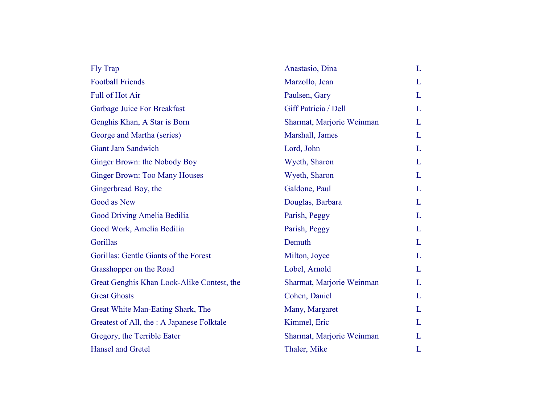| Fly Trap                                   | Anastasio, Dina           | L |
|--------------------------------------------|---------------------------|---|
| <b>Football Friends</b>                    | Marzollo, Jean            | L |
| <b>Full of Hot Air</b>                     | Paulsen, Gary             | L |
| Garbage Juice For Breakfast                | Giff Patricia / Dell      | L |
| Genghis Khan, A Star is Born               | Sharmat, Marjorie Weinman | L |
| George and Martha (series)                 | Marshall, James           | L |
| <b>Giant Jam Sandwich</b>                  | Lord, John                | L |
| Ginger Brown: the Nobody Boy               | Wyeth, Sharon             | L |
| <b>Ginger Brown: Too Many Houses</b>       | Wyeth, Sharon             | L |
| Gingerbread Boy, the                       | Galdone, Paul             | L |
| Good as New                                | Douglas, Barbara          | L |
| Good Driving Amelia Bedilia                | Parish, Peggy             | L |
| Good Work, Amelia Bedilia                  | Parish, Peggy             | L |
| Gorillas                                   | Demuth                    | L |
| Gorillas: Gentle Giants of the Forest      | Milton, Joyce             | L |
| Grasshopper on the Road                    | Lobel, Arnold             | L |
| Great Genghis Khan Look-Alike Contest, the | Sharmat, Marjorie Weinman | L |
| <b>Great Ghosts</b>                        | Cohen, Daniel             | L |
| Great White Man-Eating Shark, The          | Many, Margaret            | L |
| Greatest of All, the : A Japanese Folktale | Kimmel, Eric              | L |
| Gregory, the Terrible Eater                | Sharmat, Marjorie Weinman | L |
| Hansel and Gretel                          | Thaler, Mike              | L |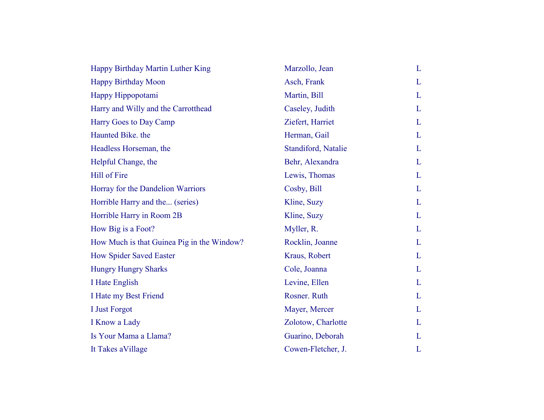| Happy Birthday Martin Luther King          | Marzollo, Jean      | L |
|--------------------------------------------|---------------------|---|
| <b>Happy Birthday Moon</b>                 | Asch, Frank         | L |
| Happy Hippopotami                          | Martin, Bill        | L |
| Harry and Willy and the Carrotthead        | Caseley, Judith     | L |
| Harry Goes to Day Camp                     | Ziefert, Harriet    | L |
| Haunted Bike, the                          | Herman, Gail        | L |
| Headless Horseman, the                     | Standiford, Natalie | L |
| Helpful Change, the                        | Behr, Alexandra     | L |
| Hill of Fire                               | Lewis, Thomas       | L |
| Horray for the Dandelion Warriors          | Cosby, Bill         | L |
| Horrible Harry and the (series)            | Kline, Suzy         | L |
| Horrible Harry in Room 2B                  | Kline, Suzy         | L |
| How Big is a Foot?                         | Myller, R.          | L |
| How Much is that Guinea Pig in the Window? | Rocklin, Joanne     | L |
| How Spider Saved Easter                    | Kraus, Robert       | L |
| <b>Hungry Hungry Sharks</b>                | Cole, Joanna        | L |
| I Hate English                             | Levine, Ellen       | L |
| I Hate my Best Friend                      | Rosner. Ruth        | L |
| I Just Forgot                              | Mayer, Mercer       | L |
| I Know a Lady                              | Zolotow, Charlotte  | L |
| Is Your Mama a Llama?                      | Guarino, Deborah    | L |
| It Takes a Village                         | Cowen-Fletcher, J.  | L |
|                                            |                     |   |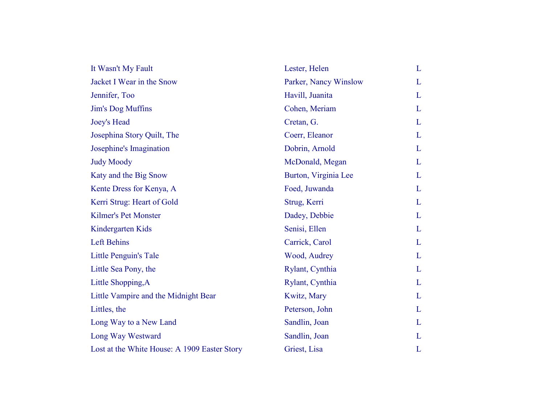| It Wasn't My Fault                           | Lester, Helen         | L            |
|----------------------------------------------|-----------------------|--------------|
| Jacket I Wear in the Snow                    | Parker, Nancy Winslow | L            |
| Jennifer, Too                                | Havill, Juanita       | L            |
| Jim's Dog Muffins                            | Cohen, Meriam         | L            |
| Joey's Head                                  | Cretan, G.            | L            |
| Josephina Story Quilt, The                   | Coerr, Eleanor        | L            |
| Josephine's Imagination                      | Dobrin, Arnold        | L            |
| <b>Judy Moody</b>                            | McDonald, Megan       | L            |
| Katy and the Big Snow                        | Burton, Virginia Lee  | L            |
| Kente Dress for Kenya, A                     | Foed, Juwanda         | L            |
| Kerri Strug: Heart of Gold                   | Strug, Kerri          | L            |
| <b>Kilmer's Pet Monster</b>                  | Dadey, Debbie         | L            |
| Kindergarten Kids                            | Senisi, Ellen         | L            |
| Left Behins                                  | Carrick, Carol        | L            |
| Little Penguin's Tale                        | Wood, Audrey          | L            |
| Little Sea Pony, the                         | Rylant, Cynthia       | L            |
| Little Shopping, A                           | Rylant, Cynthia       | L            |
| Little Vampire and the Midnight Bear         | Kwitz, Mary           | L            |
| Littles, the                                 | Peterson, John        | L            |
| Long Way to a New Land                       | Sandlin, Joan         | $\mathbf{L}$ |
| Long Way Westward                            | Sandlin, Joan         | L            |
| Lost at the White House: A 1909 Easter Story | Griest, Lisa          | L            |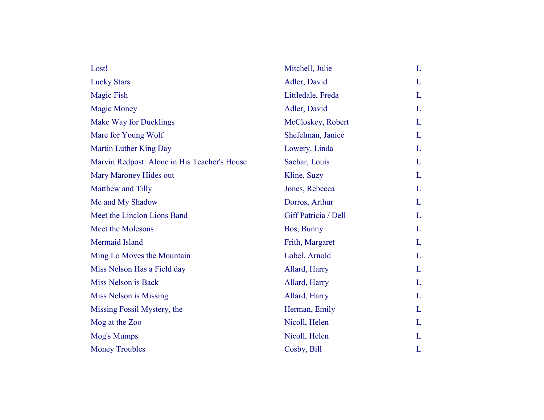| Lost!                                        | Mitchell, Julie      | L |
|----------------------------------------------|----------------------|---|
| <b>Lucky Stars</b>                           | Adler, David         | L |
| <b>Magic Fish</b>                            | Littledale, Freda    | L |
| <b>Magic Money</b>                           | Adler, David         | L |
| <b>Make Way for Ducklings</b>                | McCloskey, Robert    | L |
| Mare for Young Wolf                          | Shefelman, Janice    | L |
| Martin Luther King Day                       | Lowery. Linda        | L |
| Marvin Redpost: Alone in His Teacher's House | Sachar, Louis        | L |
| Mary Maroney Hides out                       | Kline, Suzy          | L |
| Matthew and Tilly                            | Jones, Rebecca       | L |
| Me and My Shadow                             | Dorros, Arthur       | L |
| Meet the Linclon Lions Band                  | Giff Patricia / Dell | L |
| Meet the Molesons                            | Bos, Bunny           | L |
| Mermaid Island                               | Frith, Margaret      | L |
| Ming Lo Moves the Mountain                   | Lobel, Arnold        | L |
| Miss Nelson Has a Field day                  | Allard, Harry        | L |
| Miss Nelson is Back                          | Allard, Harry        | L |
| <b>Miss Nelson is Missing</b>                | Allard, Harry        | L |
| Missing Fossil Mystery, the                  | Herman, Emily        | L |
| Mog at the Zoo                               | Nicoll, Helen        | L |
| Mog's Mumps                                  | Nicoll, Helen        | L |
| <b>Money Troubles</b>                        | Cosby, Bill          | L |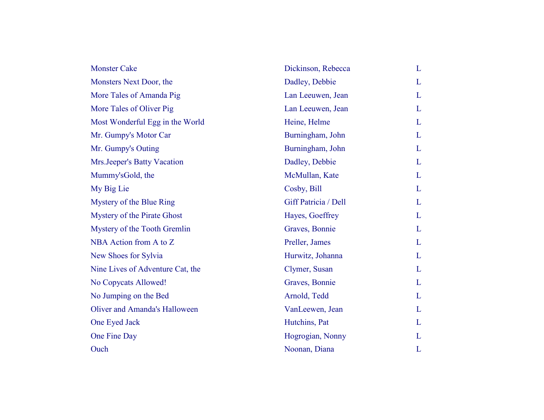| <b>Monster Cake</b>              | Dickinson, Rebecca   | L |
|----------------------------------|----------------------|---|
| Monsters Next Door, the          | Dadley, Debbie       | L |
| More Tales of Amanda Pig         | Lan Leeuwen, Jean    | L |
| More Tales of Oliver Pig         | Lan Leeuwen, Jean    | L |
| Most Wonderful Egg in the World  | Heine, Helme         | L |
| Mr. Gumpy's Motor Car            | Burningham, John     | L |
| Mr. Gumpy's Outing               | Burningham, John     | L |
| Mrs.Jeeper's Batty Vacation      | Dadley, Debbie       | L |
| Mummy'sGold, the                 | McMullan, Kate       | L |
| My Big Lie                       | Cosby, Bill          | L |
| Mystery of the Blue Ring         | Giff Patricia / Dell | L |
| Mystery of the Pirate Ghost      | Hayes, Goeffrey      | L |
| Mystery of the Tooth Gremlin     | Graves, Bonnie       | L |
| NBA Action from A to Z           | Preller, James       | L |
| New Shoes for Sylvia             | Hurwitz, Johanna     | L |
| Nine Lives of Adventure Cat, the | Clymer, Susan        | L |
| No Copycats Allowed!             | Graves, Bonnie       | L |
| No Jumping on the Bed            | Arnold, Tedd         | L |
| Oliver and Amanda's Halloween    | VanLeewen, Jean      | L |
| One Eyed Jack                    | Hutchins, Pat        | L |
| One Fine Day                     | Hogrogian, Nonny     | L |
| Ouch                             | Noonan, Diana        | L |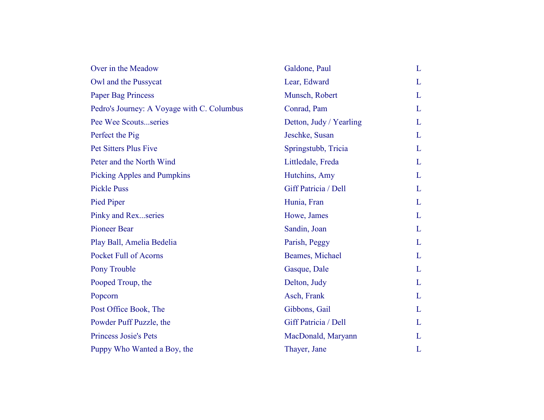| Over in the Meadow                         | Galdone, Paul           | L |
|--------------------------------------------|-------------------------|---|
| Owl and the Pussycat                       | Lear, Edward            | L |
| <b>Paper Bag Princess</b>                  | Munsch, Robert          | L |
| Pedro's Journey: A Voyage with C. Columbus | Conrad, Pam             | L |
| Pee Wee Scoutsseries                       | Detton, Judy / Yearling | L |
| Perfect the Pig                            | Jeschke, Susan          | L |
| <b>Pet Sitters Plus Five</b>               | Springstubb, Tricia     | L |
| Peter and the North Wind                   | Littledale, Freda       | L |
| <b>Picking Apples and Pumpkins</b>         | Hutchins, Amy           | L |
| <b>Pickle Puss</b>                         | Giff Patricia / Dell    | L |
| Pied Piper                                 | Hunia, Fran             | L |
| Pinky and Rexseries                        | Howe, James             | L |
| <b>Pioneer Bear</b>                        | Sandin, Joan            | L |
| Play Ball, Amelia Bedelia                  | Parish, Peggy           | L |
| <b>Pocket Full of Acorns</b>               | Beames, Michael         | L |
| Pony Trouble                               | Gasque, Dale            | L |
| Pooped Troup, the                          | Delton, Judy            | L |
| Popcorn                                    | Asch, Frank             | L |
| Post Office Book, The                      | Gibbons, Gail           | L |
| Powder Puff Puzzle, the                    | Giff Patricia / Dell    | L |
| <b>Princess Josie's Pets</b>               | MacDonald, Maryann      | L |
| Puppy Who Wanted a Boy, the                | Thayer, Jane            | L |
|                                            |                         |   |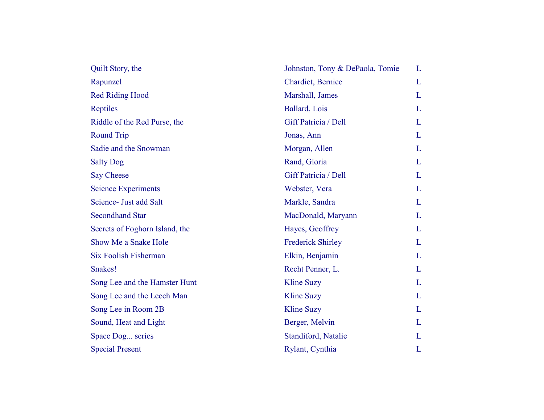| Quilt Story, the               | Johnston, Tony & DePaola, Tomie | L |
|--------------------------------|---------------------------------|---|
| Rapunzel                       | Chardiet, Bernice               | L |
| <b>Red Riding Hood</b>         | Marshall, James                 | L |
| Reptiles                       | Ballard, Lois                   | L |
| Riddle of the Red Purse, the   | Giff Patricia / Dell            | L |
| <b>Round Trip</b>              | Jonas, Ann                      | L |
| Sadie and the Snowman          | Morgan, Allen                   | L |
| <b>Salty Dog</b>               | Rand, Gloria                    | L |
| Say Cheese                     | Giff Patricia / Dell            | L |
| <b>Science Experiments</b>     | Webster, Vera                   | L |
| Science- Just add Salt         | Markle, Sandra                  | L |
| <b>Secondhand Star</b>         | MacDonald, Maryann              | L |
| Secrets of Foghorn Island, the | Hayes, Geoffrey                 | L |
| Show Me a Snake Hole           | <b>Frederick Shirley</b>        | L |
| <b>Six Foolish Fisherman</b>   | Elkin, Benjamin                 | L |
| Snakes!                        | Recht Penner, L.                | L |
| Song Lee and the Hamster Hunt  | <b>Kline Suzy</b>               | L |
| Song Lee and the Leech Man     | <b>Kline Suzy</b>               | L |
| Song Lee in Room 2B            | <b>Kline Suzy</b>               | L |
| Sound, Heat and Light          | Berger, Melvin                  | L |
| Space Dog series               | Standiford, Natalie             | L |
| <b>Special Present</b>         | Rylant, Cynthia                 | L |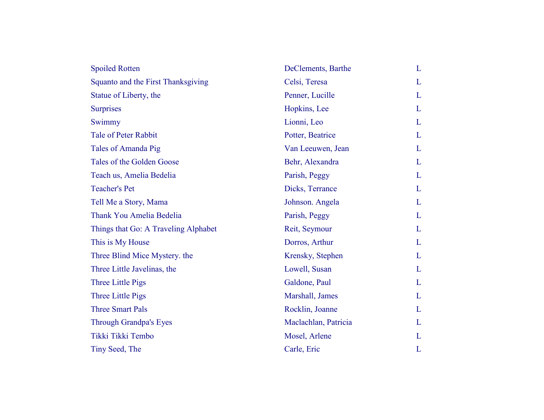| <b>Spoiled Rotten</b>                | DeClements, Barthe   | L |
|--------------------------------------|----------------------|---|
| Squanto and the First Thanksgiving   | Celsi, Teresa        | L |
| Statue of Liberty, the               | Penner, Lucille      | L |
| <b>Surprises</b>                     | Hopkins, Lee         | L |
| Swimmy                               | Lionni, Leo          | L |
| <b>Tale of Peter Rabbit</b>          | Potter, Beatrice     | L |
| Tales of Amanda Pig                  | Van Leeuwen, Jean    | L |
| Tales of the Golden Goose            | Behr, Alexandra      | L |
| Teach us, Amelia Bedelia             | Parish, Peggy        | L |
| <b>Teacher's Pet</b>                 | Dicks, Terrance      | L |
| Tell Me a Story, Mama                | Johnson. Angela      | L |
| Thank You Amelia Bedelia             | Parish, Peggy        | L |
| Things that Go: A Traveling Alphabet | Reit, Seymour        | L |
| This is My House                     | Dorros, Arthur       | L |
| Three Blind Mice Mystery. the        | Krensky, Stephen     | L |
| Three Little Javelinas, the          | Lowell, Susan        | L |
| Three Little Pigs                    | Galdone, Paul        | L |
| Three Little Pigs                    | Marshall, James      | L |
| <b>Three Smart Pals</b>              | Rocklin, Joanne      | L |
| Through Grandpa's Eyes               | Maclachlan, Patricia | L |
| Tikki Tikki Tembo                    | Mosel, Arlene        | L |
| Tiny Seed, The                       | Carle, Eric          | L |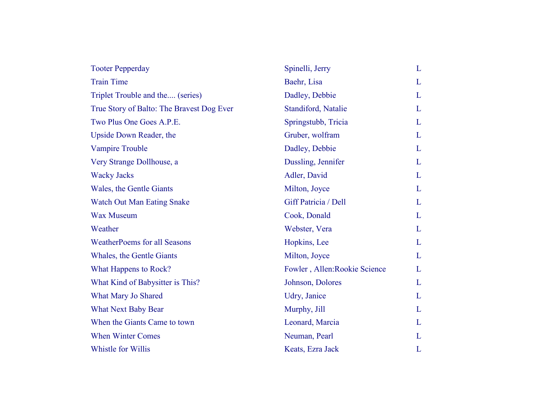| <b>Tooter Pepperday</b>                   | Spinelli, Jerry               | L |
|-------------------------------------------|-------------------------------|---|
| <b>Train Time</b>                         | Baehr, Lisa                   | L |
| Triplet Trouble and the (series)          | Dadley, Debbie                | L |
| True Story of Balto: The Bravest Dog Ever | Standiford, Natalie           | L |
| Two Plus One Goes A.P.E.                  | Springstubb, Tricia           | L |
| Upside Down Reader, the                   | Gruber, wolfram               | L |
| <b>Vampire Trouble</b>                    | Dadley, Debbie                | L |
| Very Strange Dollhouse, a                 | Dussling, Jennifer            | L |
| <b>Wacky Jacks</b>                        | Adler, David                  | L |
| Wales, the Gentle Giants                  | Milton, Joyce                 | L |
| <b>Watch Out Man Eating Snake</b>         | Giff Patricia / Dell          | L |
| <b>Wax Museum</b>                         | Cook, Donald                  | L |
| Weather                                   | Webster, Vera                 | L |
| <b>WeatherPoems for all Seasons</b>       | Hopkins, Lee                  | L |
| Whales, the Gentle Giants                 | Milton, Joyce                 | L |
| What Happens to Rock?                     | Fowler, Allen: Rookie Science | L |
| What Kind of Babysitter is This?          | Johnson, Dolores              | L |
| What Mary Jo Shared                       | Udry, Janice                  | L |
| <b>What Next Baby Bear</b>                | Murphy, Jill                  | L |
| When the Giants Came to town              | Leonard, Marcia               | L |
| <b>When Winter Comes</b>                  | Neuman, Pearl                 | L |
| Whistle for Willis                        | Keats, Ezra Jack              | L |
|                                           |                               |   |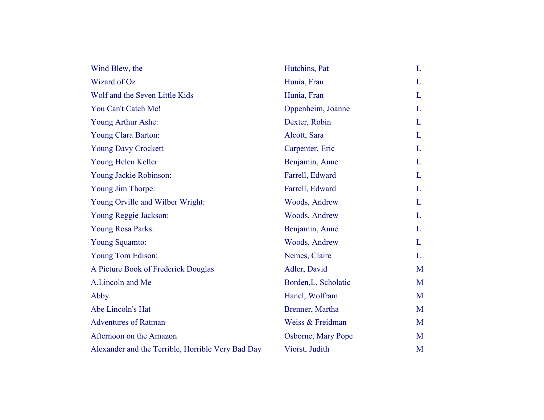| Wind Blew, the                                    | Hutchins, Pat        | L |
|---------------------------------------------------|----------------------|---|
| Wizard of Oz                                      | Hunia, Fran          | L |
| Wolf and the Seven Little Kids                    | Hunia, Fran          | L |
| You Can't Catch Me!                               | Oppenheim, Joanne    | L |
| Young Arthur Ashe:                                | Dexter, Robin        | L |
| Young Clara Barton:                               | Alcott, Sara         | L |
| <b>Young Davy Crockett</b>                        | Carpenter, Eric      | L |
| Young Helen Keller                                | Benjamin, Anne       | L |
| Young Jackie Robinson:                            | Farrell, Edward      | L |
| Young Jim Thorpe:                                 | Farrell, Edward      | L |
| Young Orville and Wilber Wright:                  | Woods, Andrew        | L |
| Young Reggie Jackson:                             | Woods, Andrew        | L |
| Young Rosa Parks:                                 | Benjamin, Anne       | L |
| Young Squamto:                                    | Woods, Andrew        | L |
| Young Tom Edison:                                 | Nemes, Claire        | L |
| A Picture Book of Frederick Douglas               | Adler, David         | M |
| A.Lincoln and Me                                  | Borden, L. Scholatic | M |
| Abby                                              | Hanel, Wolfram       | M |
| Abe Lincoln's Hat                                 | Brenner, Martha      | M |
| <b>Adventures of Ratman</b>                       | Weiss & Freidman     | M |
| Afternoon on the Amazon                           | Osborne, Mary Pope   | M |
| Alexander and the Terrible, Horrible Very Bad Day | Viorst, Judith       | M |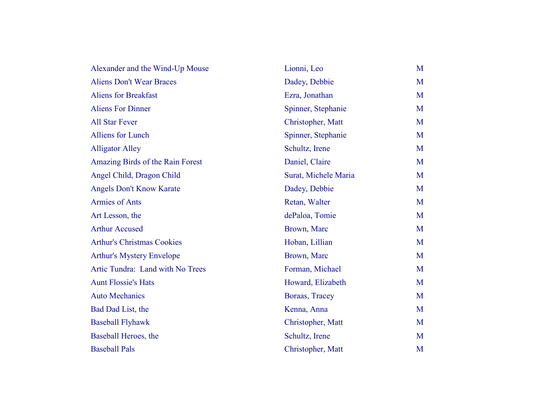| Alexander and the Wind-Up Mouse   | Lionni, Leo          | M |
|-----------------------------------|----------------------|---|
| <b>Aliens Don't Wear Braces</b>   | Dadey, Debbie        | M |
| <b>Aliens for Breakfast</b>       | Ezra, Jonathan       | M |
| <b>Aliens For Dinner</b>          | Spinner, Stephanie   | M |
| <b>All Star Fever</b>             | Christopher, Matt    | M |
| <b>Alliens for Lunch</b>          | Spinner, Stephanie   | M |
| <b>Alligator Alley</b>            | Schultz, Irene       | M |
| Amazing Birds of the Rain Forest  | Daniel, Claire       | M |
| Angel Child, Dragon Child         | Surat, Michele Maria | M |
| Angels Don't Know Karate          | Dadey, Debbie        | M |
| <b>Armies of Ants</b>             | Retan, Walter        | M |
| Art Lesson, the                   | dePaloa, Tomie       | M |
| <b>Arthur Accused</b>             | Brown, Marc          | M |
| <b>Arthur's Christmas Cookies</b> | Hoban, Lillian       | M |
| <b>Arthur's Mystery Envelope</b>  | Brown, Marc          | M |
| Artic Tundra: Land with No Trees  | Forman, Michael      | M |
| <b>Aunt Flossie's Hats</b>        | Howard, Elizabeth    | M |
| <b>Auto Mechanics</b>             | Boraas, Tracey       | M |
| Bad Dad List, the                 | Kenna, Anna          | M |
| <b>Baseball Flyhawk</b>           | Christopher, Matt    | M |
| Baseball Heroes, the              | Schultz, Irene       | M |
| <b>Baseball Pals</b>              | Christopher, Matt    | M |
|                                   |                      |   |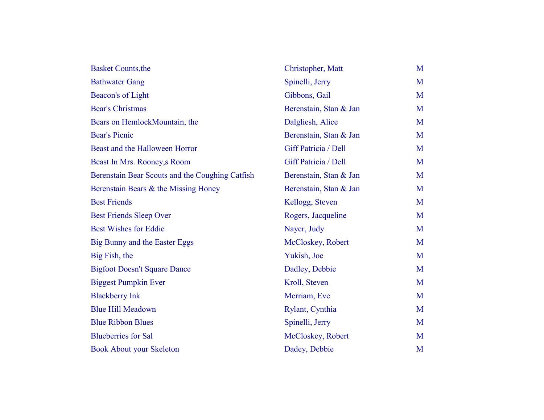| <b>Basket Counts, the</b>                       | Christopher, Matt      | M |
|-------------------------------------------------|------------------------|---|
| <b>Bathwater Gang</b>                           | Spinelli, Jerry        | M |
| Beacon's of Light                               | Gibbons, Gail          | M |
| <b>Bear's Christmas</b>                         | Berenstain, Stan & Jan | M |
| Bears on HemlockMountain, the                   | Dalgliesh, Alice       | M |
| <b>Bear's Picnic</b>                            | Berenstain, Stan & Jan | M |
| Beast and the Halloween Horror                  | Giff Patricia / Dell   | M |
| Beast In Mrs. Rooney, s Room                    | Giff Patricia / Dell   | M |
| Berenstain Bear Scouts and the Coughing Catfish | Berenstain, Stan & Jan | M |
| Berenstain Bears & the Missing Honey            | Berenstain, Stan & Jan | M |
| <b>Best Friends</b>                             | Kellogg, Steven        | M |
| <b>Best Friends Sleep Over</b>                  | Rogers, Jacqueline     | M |
| <b>Best Wishes for Eddie</b>                    | Nayer, Judy            | M |
| Big Bunny and the Easter Eggs                   | McCloskey, Robert      | M |
| Big Fish, the                                   | Yukish, Joe            | M |
| <b>Bigfoot Doesn't Square Dance</b>             | Dadley, Debbie         | M |
| <b>Biggest Pumpkin Ever</b>                     | Kroll, Steven          | M |
| <b>Blackberry Ink</b>                           | Merriam, Eve           | M |
| <b>Blue Hill Meadown</b>                        | Rylant, Cynthia        | M |
| <b>Blue Ribbon Blues</b>                        | Spinelli, Jerry        | M |
| <b>Blueberries</b> for Sal                      | McCloskey, Robert      | M |
| <b>Book About your Skeleton</b>                 | Dadey, Debbie          | M |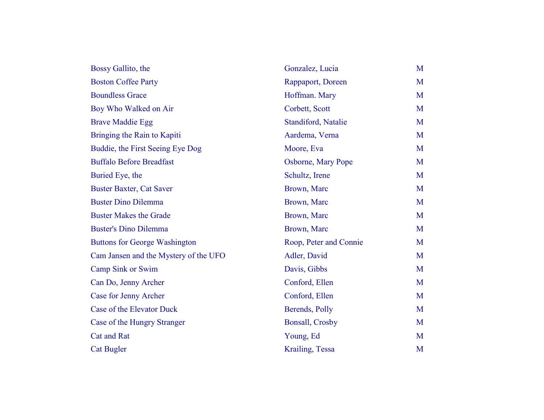| Bossy Gallito, the                    | Gonzalez, Lucia           | M |
|---------------------------------------|---------------------------|---|
| <b>Boston Coffee Party</b>            | Rappaport, Doreen         | M |
| <b>Boundless Grace</b>                | Hoffman. Mary             | M |
| Boy Who Walked on Air                 | Corbett, Scott            | M |
| <b>Brave Maddie Egg</b>               | Standiford, Natalie       | M |
| Bringing the Rain to Kapiti           | Aardema, Verna            | M |
| Buddie, the First Seeing Eye Dog      | Moore, Eva                | M |
| <b>Buffalo Before Breadfast</b>       | <b>Osborne, Mary Pope</b> | M |
| Buried Eye, the                       | Schultz, Irene            | M |
| <b>Buster Baxter, Cat Saver</b>       | Brown, Marc               | M |
| <b>Buster Dino Dilemma</b>            | Brown, Marc               | M |
| <b>Buster Makes the Grade</b>         | Brown, Marc               | M |
| <b>Buster's Dino Dilemma</b>          | Brown, Marc               | M |
| <b>Buttons for George Washington</b>  | Roop, Peter and Connie    | M |
| Cam Jansen and the Mystery of the UFO | Adler, David              | M |
| Camp Sink or Swim                     | Davis, Gibbs              | M |
| Can Do, Jenny Archer                  | Conford, Ellen            | M |
| Case for Jenny Archer                 | Conford, Ellen            | M |
| Case of the Elevator Duck             | Berends, Polly            | M |
| Case of the Hungry Stranger           | <b>Bonsall, Crosby</b>    | M |
| <b>Cat and Rat</b>                    | Young, Ed                 | M |
| <b>Cat Bugler</b>                     | Krailing, Tessa           | M |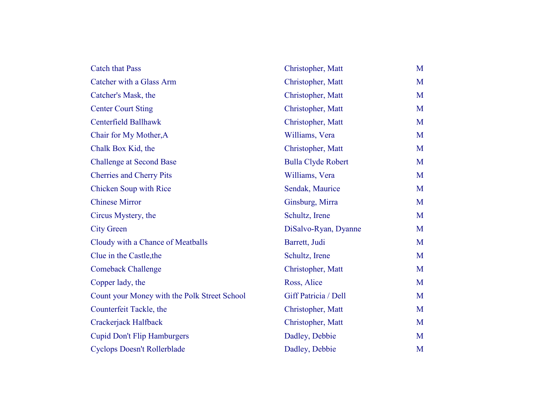| <b>Catch that Pass</b>                       | Christopher, Matt         | M |
|----------------------------------------------|---------------------------|---|
| Catcher with a Glass Arm                     | Christopher, Matt         | M |
| Catcher's Mask, the                          | Christopher, Matt         | M |
| <b>Center Court Sting</b>                    | Christopher, Matt         | M |
| <b>Centerfield Ballhawk</b>                  | Christopher, Matt         | M |
| Chair for My Mother, A                       | Williams, Vera            | M |
| Chalk Box Kid, the                           | Christopher, Matt         | M |
| <b>Challenge at Second Base</b>              | <b>Bulla Clyde Robert</b> | M |
| <b>Cherries and Cherry Pits</b>              | Williams, Vera            | M |
| <b>Chicken Soup with Rice</b>                | Sendak, Maurice           | M |
| <b>Chinese Mirror</b>                        | Ginsburg, Mirra           | M |
| Circus Mystery, the                          | Schultz, Irene            | M |
| <b>City Green</b>                            | DiSalvo-Ryan, Dyanne      | M |
| Cloudy with a Chance of Meatballs            | Barrett, Judi             | M |
| Clue in the Castle, the                      | Schultz, Irene            | M |
| <b>Comeback Challenge</b>                    | Christopher, Matt         | M |
| Copper lady, the                             | Ross, Alice               | M |
| Count your Money with the Polk Street School | Giff Patricia / Dell      | M |
| Counterfeit Tackle, the                      | Christopher, Matt         | M |
| Crackerjack Halfback                         | Christopher, Matt         | M |
| <b>Cupid Don't Flip Hamburgers</b>           | Dadley, Debbie            | M |
| <b>Cyclops Doesn't Rollerblade</b>           | Dadley, Debbie            | M |
|                                              |                           |   |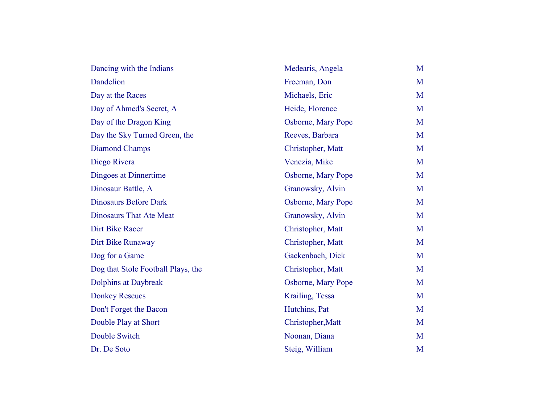| Dancing with the Indians           | Medearis, Angela   | M |
|------------------------------------|--------------------|---|
| Dandelion                          | Freeman, Don       | M |
| Day at the Races                   | Michaels, Eric     | M |
| Day of Ahmed's Secret, A           | Heide, Florence    | M |
| Day of the Dragon King             | Osborne, Mary Pope | M |
| Day the Sky Turned Green, the      | Reeves, Barbara    | M |
| Diamond Champs                     | Christopher, Matt  | M |
| Diego Rivera                       | Venezia, Mike      | M |
| Dingoes at Dinnertime              | Osborne, Mary Pope | M |
| Dinosaur Battle, A                 | Granowsky, Alvin   | M |
| <b>Dinosaurs Before Dark</b>       | Osborne, Mary Pope | M |
| <b>Dinosaurs That Ate Meat</b>     | Granowsky, Alvin   | M |
| Dirt Bike Racer                    | Christopher, Matt  | M |
| Dirt Bike Runaway                  | Christopher, Matt  | M |
| Dog for a Game                     | Gackenbach, Dick   | M |
| Dog that Stole Football Plays, the | Christopher, Matt  | M |
| Dolphins at Daybreak               | Osborne, Mary Pope | M |
| <b>Donkey Rescues</b>              | Krailing, Tessa    | M |
| Don't Forget the Bacon             | Hutchins, Pat      | M |
| Double Play at Short               | Christopher, Matt  | M |
| Double Switch                      | Noonan, Diana      | M |
| Dr. De Soto                        | Steig, William     | M |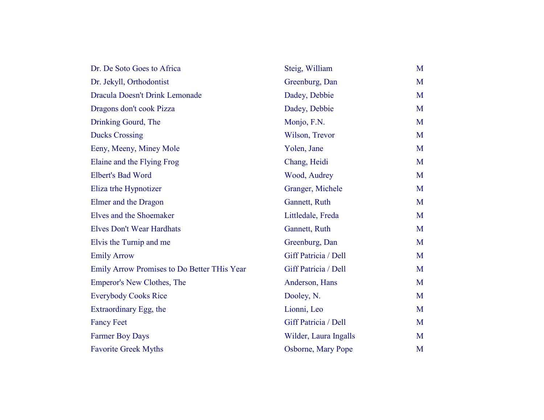| Dr. De Soto Goes to Africa                  | Steig, William        | M |
|---------------------------------------------|-----------------------|---|
| Dr. Jekyll, Orthodontist                    | Greenburg, Dan        | M |
| Dracula Doesn't Drink Lemonade              | Dadey, Debbie         | M |
| Dragons don't cook Pizza                    | Dadey, Debbie         | M |
| Drinking Gourd, The                         | Monjo, F.N.           | M |
| <b>Ducks Crossing</b>                       | Wilson, Trevor        | M |
| Eeny, Meeny, Miney Mole                     | Yolen, Jane           | M |
| Elaine and the Flying Frog                  | Chang, Heidi          | M |
| <b>Elbert's Bad Word</b>                    | Wood, Audrey          | M |
| Eliza trhe Hypnotizer                       | Granger, Michele      | M |
| Elmer and the Dragon                        | Gannett, Ruth         | M |
| Elves and the Shoemaker                     | Littledale, Freda     | M |
| <b>Elves Don't Wear Hardhats</b>            | Gannett, Ruth         | M |
| Elvis the Turnip and me                     | Greenburg, Dan        | M |
| <b>Emily Arrow</b>                          | Giff Patricia / Dell  | M |
| Emily Arrow Promises to Do Better THis Year | Giff Patricia / Dell  | M |
| Emperor's New Clothes, The                  | Anderson, Hans        | M |
| <b>Everybody Cooks Rice</b>                 | Dooley, N.            | M |
| Extraordinary Egg, the                      | Lionni, Leo           | M |
| <b>Fancy Feet</b>                           | Giff Patricia / Dell  | M |
| <b>Farmer Boy Days</b>                      | Wilder, Laura Ingalls | M |
| <b>Favorite Greek Myths</b>                 | Osborne, Mary Pope    | M |
|                                             |                       |   |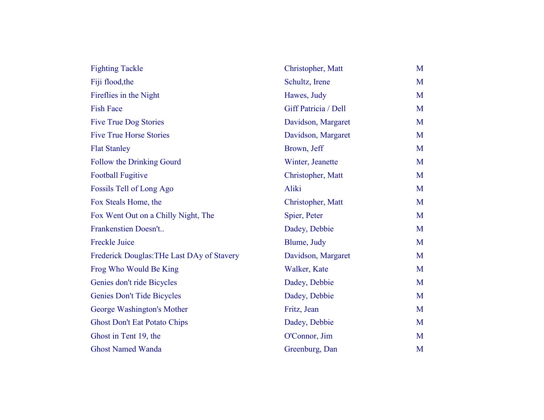| <b>Fighting Tackle</b>                     | Christopher, Matt    | M |
|--------------------------------------------|----------------------|---|
| Fiji flood, the                            | Schultz, Irene       | M |
| Fireflies in the Night                     | Hawes, Judy          | M |
| <b>Fish Face</b>                           | Giff Patricia / Dell | M |
| <b>Five True Dog Stories</b>               | Davidson, Margaret   | M |
| <b>Five True Horse Stories</b>             | Davidson, Margaret   | M |
| <b>Flat Stanley</b>                        | Brown, Jeff          | M |
| Follow the Drinking Gourd                  | Winter, Jeanette     | M |
| <b>Football Fugitive</b>                   | Christopher, Matt    | M |
| Fossils Tell of Long Ago                   | Aliki                | M |
| Fox Steals Home, the                       | Christopher, Matt    | M |
| Fox Went Out on a Chilly Night, The        | Spier, Peter         | M |
| Frankenstien Doesn't                       | Dadey, Debbie        | M |
| <b>Freckle Juice</b>                       | Blume, Judy          | M |
| Frederick Douglas: THe Last DAy of Stavery | Davidson, Margaret   | M |
| Frog Who Would Be King                     | Walker, Kate         | M |
| Genies don't ride Bicycles                 | Dadey, Debbie        | M |
| <b>Genies Don't Tide Bicycles</b>          | Dadey, Debbie        | M |
| George Washington's Mother                 | Fritz, Jean          | M |
| <b>Ghost Don't Eat Potato Chips</b>        | Dadey, Debbie        | M |
| Ghost in Tent 19, the                      | O'Connor, Jim        | M |
| <b>Ghost Named Wanda</b>                   | Greenburg, Dan       | M |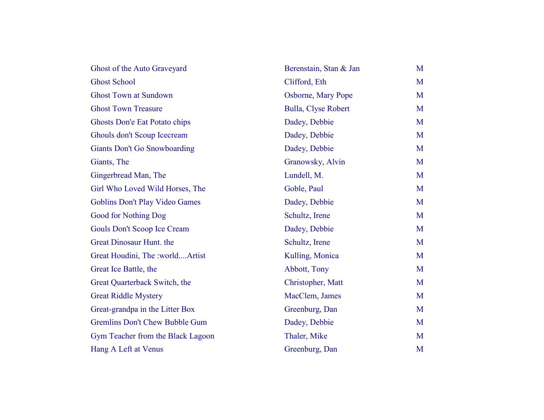| Ghost of the Auto Graveyard           | Berenstain, Stan & Jan     | M |
|---------------------------------------|----------------------------|---|
| <b>Ghost School</b>                   | Clifford, Eth              | M |
| <b>Ghost Town at Sundown</b>          | Osborne, Mary Pope         | M |
| <b>Ghost Town Treasure</b>            | <b>Bulla, Clyse Robert</b> | M |
| Ghosts Don'e Eat Potato chips         | Dadey, Debbie              | M |
| Ghouls don't Scoup Icecream           | Dadey, Debbie              | M |
| <b>Giants Don't Go Snowboarding</b>   | Dadey, Debbie              | M |
| Giants, The                           | Granowsky, Alvin           | M |
| Gingerbread Man, The                  | Lundell, M.                | M |
| Girl Who Loved Wild Horses, The       | Goble, Paul                | M |
| Goblins Don't Play Video Games        | Dadey, Debbie              | M |
| <b>Good for Nothing Dog</b>           | Schultz, Irene             | M |
| Gouls Don't Scoop Ice Cream           | Dadey, Debbie              | M |
| Great Dinosaur Hunt. the              | Schultz, Irene             | M |
| Great Houdini, The :worldArtist       | Kulling, Monica            | M |
| Great Ice Battle, the                 | Abbott, Tony               | M |
| Great Quarterback Switch, the         | Christopher, Matt          | M |
| <b>Great Riddle Mystery</b>           | MacClem, James             | M |
| Great-grandpa in the Litter Box       | Greenburg, Dan             | M |
| <b>Gremlins Don't Chew Bubble Gum</b> | Dadey, Debbie              | M |
| Gym Teacher from the Black Lagoon     | Thaler, Mike               | M |
| Hang A Left at Venus                  | Greenburg, Dan             | M |
|                                       |                            |   |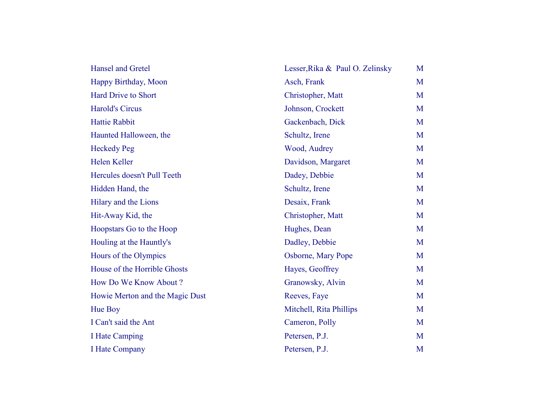| <b>Hansel and Gretel</b>        | Lesser, Rika & Paul O. Zelinsky | M |
|---------------------------------|---------------------------------|---|
| Happy Birthday, Moon            | Asch, Frank                     | M |
| <b>Hard Drive to Short</b>      | Christopher, Matt               | M |
| <b>Harold's Circus</b>          | Johnson, Crockett               | M |
| <b>Hattie Rabbit</b>            | Gackenbach, Dick                | M |
| Haunted Halloween, the          | Schultz, Irene                  | M |
| <b>Heckedy Peg</b>              | Wood, Audrey                    | M |
| Helen Keller                    | Davidson, Margaret              | M |
| Hercules doesn't Pull Teeth     | Dadey, Debbie                   | M |
| Hidden Hand, the                | Schultz, Irene                  | M |
| Hilary and the Lions            | Desaix, Frank                   | M |
| Hit-Away Kid, the               | Christopher, Matt               | M |
| Hoopstars Go to the Hoop        | Hughes, Dean                    | M |
| Houling at the Hauntly's        | Dadley, Debbie                  | M |
| Hours of the Olympics           | Osborne, Mary Pope              | M |
| House of the Horrible Ghosts    | Hayes, Geoffrey                 | M |
| How Do We Know About?           | Granowsky, Alvin                | M |
| Howie Merton and the Magic Dust | Reeves, Faye                    | M |
| Hue Boy                         | Mitchell, Rita Phillips         | M |
| I Can't said the Ant            | Cameron, Polly                  | M |
| <b>I Hate Camping</b>           | Petersen, P.J.                  | M |
| <b>I Hate Company</b>           | Petersen, P.J.                  | M |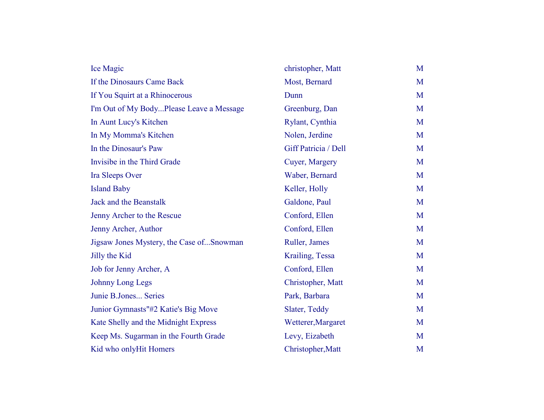| Ice Magic                                | christopher, Matt    | M |
|------------------------------------------|----------------------|---|
| If the Dinosaurs Came Back               | Most, Bernard        | M |
| If You Squirt at a Rhinocerous           | Dunn                 | M |
| I'm Out of My BodyPlease Leave a Message | Greenburg, Dan       | M |
| In Aunt Lucy's Kitchen                   | Rylant, Cynthia      | M |
| In My Momma's Kitchen                    | Nolen, Jerdine       | M |
| In the Dinosaur's Paw                    | Giff Patricia / Dell | M |
| Invisibe in the Third Grade              | Cuyer, Margery       | M |
| Ira Sleeps Over                          | Waber, Bernard       | M |
| <b>Island Baby</b>                       | Keller, Holly        | M |
| Jack and the Beanstalk                   | Galdone, Paul        | M |
| Jenny Archer to the Rescue               | Conford, Ellen       | M |
| Jenny Archer, Author                     | Conford, Ellen       | M |
| Jigsaw Jones Mystery, the Case ofSnowman | Ruller, James        | M |
| Jilly the Kid                            | Krailing, Tessa      | M |
| Job for Jenny Archer, A                  | Conford, Ellen       | M |
| Johnny Long Legs                         | Christopher, Matt    | M |
| Junie B.Jones Series                     | Park, Barbara        | M |
| Junior Gymnasts"#2 Katie's Big Move      | Slater, Teddy        | M |
| Kate Shelly and the Midnight Express     | Wetterer, Margaret   | M |
| Keep Ms. Sugarman in the Fourth Grade    | Levy, Eizabeth       | M |
| Kid who onlyHit Homers                   | Christopher, Matt    | M |
|                                          |                      |   |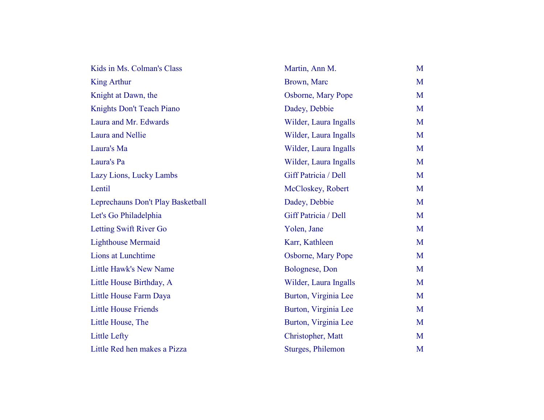| Kids in Ms. Colman's Class        | Martin, Ann M.        | M |
|-----------------------------------|-----------------------|---|
| <b>King Arthur</b>                | Brown, Marc           | M |
| Knight at Dawn, the               | Osborne, Mary Pope    | M |
| Knights Don't Teach Piano         | Dadey, Debbie         | M |
| Laura and Mr. Edwards             | Wilder, Laura Ingalls | M |
| Laura and Nellie                  | Wilder, Laura Ingalls | M |
| Laura's Ma                        | Wilder, Laura Ingalls | M |
| Laura's Pa                        | Wilder, Laura Ingalls | M |
| Lazy Lions, Lucky Lambs           | Giff Patricia / Dell  | M |
| Lentil                            | McCloskey, Robert     | M |
| Leprechauns Don't Play Basketball | Dadey, Debbie         | M |
| Let's Go Philadelphia             | Giff Patricia / Dell  | M |
| Letting Swift River Go            | Yolen, Jane           | M |
| <b>Lighthouse Mermaid</b>         | Karr, Kathleen        | M |
| Lions at Lunchtime                | Osborne, Mary Pope    | M |
| Little Hawk's New Name            | Bolognese, Don        | M |
| Little House Birthday, A          | Wilder, Laura Ingalls | M |
| Little House Farm Daya            | Burton, Virginia Lee  | M |
| <b>Little House Friends</b>       | Burton, Virginia Lee  | M |
| Little House, The                 | Burton, Virginia Lee  | M |
| <b>Little Lefty</b>               | Christopher, Matt     | M |
| Little Red hen makes a Pizza      | Sturges, Philemon     | M |
|                                   |                       |   |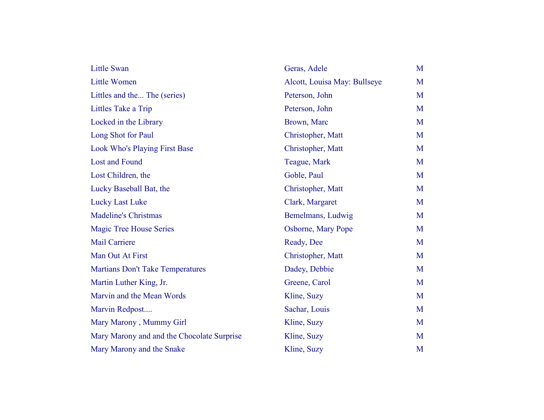| <b>Little Swan</b>                         | Geras, Adele                 | M |
|--------------------------------------------|------------------------------|---|
| <b>Little Women</b>                        | Alcott, Louisa May: Bullseye | M |
| Littles and the The (series)               | Peterson, John               | M |
| Littles Take a Trip                        | Peterson, John               | M |
| Locked in the Library                      | Brown, Marc                  | M |
| Long Shot for Paul                         | Christopher, Matt            | M |
| <b>Look Who's Playing First Base</b>       | Christopher, Matt            | M |
| <b>Lost and Found</b>                      | Teague, Mark                 | M |
| Lost Children, the                         | Goble, Paul                  | M |
| Lucky Baseball Bat, the                    | Christopher, Matt            | M |
| <b>Lucky Last Luke</b>                     | Clark, Margaret              | M |
| <b>Madeline's Christmas</b>                | Bemelmans, Ludwig            | M |
| <b>Magic Tree House Series</b>             | Osborne, Mary Pope           | M |
| <b>Mail Carriere</b>                       | Ready, Dee                   | M |
| Man Out At First                           | Christopher, Matt            | M |
| <b>Martians Don't Take Temperatures</b>    | Dadey, Debbie                | M |
| Martin Luther King, Jr.                    | Greene, Carol                | M |
| Marvin and the Mean Words                  | Kline, Suzy                  | M |
| Marvin Redpost                             | Sachar, Louis                | M |
| Mary Marony, Mummy Girl                    | Kline, Suzy                  | M |
| Mary Marony and and the Chocolate Surprise | Kline, Suzy                  | M |
| Mary Marony and the Snake                  | Kline, Suzy                  | M |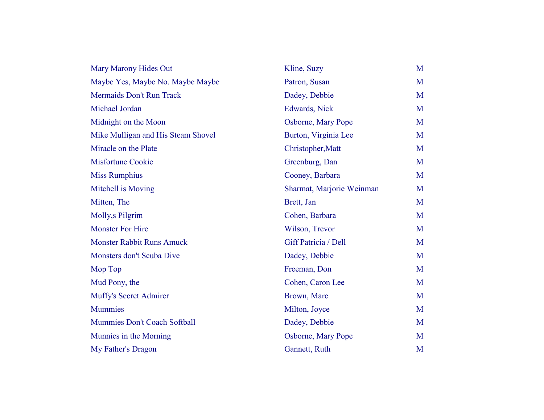| Mary Marony Hides Out              | Kline, Suzy               | M |
|------------------------------------|---------------------------|---|
| Maybe Yes, Maybe No. Maybe Maybe   | Patron, Susan             | M |
| Mermaids Don't Run Track           | Dadey, Debbie             | M |
| Michael Jordan                     | Edwards, Nick             | M |
| Midnight on the Moon               | Osborne, Mary Pope        | M |
| Mike Mulligan and His Steam Shovel | Burton, Virginia Lee      | M |
| Miracle on the Plate               | Christopher, Matt         | M |
| <b>Misfortune Cookie</b>           | Greenburg, Dan            | M |
| <b>Miss Rumphius</b>               | Cooney, Barbara           | M |
| Mitchell is Moving                 | Sharmat, Marjorie Weinman | M |
| Mitten, The                        | Brett, Jan                | M |
| Molly, sPilgrim                    | Cohen, Barbara            | M |
| <b>Monster For Hire</b>            | Wilson, Trevor            | M |
| <b>Monster Rabbit Runs Amuck</b>   | Giff Patricia / Dell      | M |
| Monsters don't Scuba Dive          | Dadey, Debbie             | M |
| Mop Top                            | Freeman, Don              | M |
| Mud Pony, the                      | Cohen, Caron Lee          | M |
| Muffy's Secret Admirer             | Brown, Marc               | M |
| <b>Mummies</b>                     | Milton, Joyce             | M |
| Mummies Don't Coach Softball       | Dadey, Debbie             | M |
| Munnies in the Morning             | Osborne, Mary Pope        | M |
| My Father's Dragon                 | Gannett, Ruth             | M |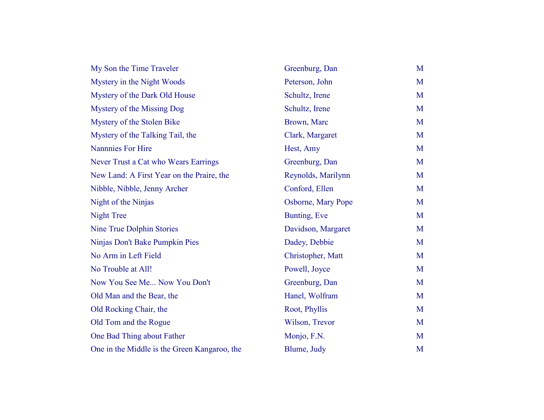| My Son the Time Traveler                     | Greenburg, Dan     | M |
|----------------------------------------------|--------------------|---|
| Mystery in the Night Woods                   | Peterson, John     | M |
| Mystery of the Dark Old House                | Schultz, Irene     | M |
| Mystery of the Missing Dog                   | Schultz, Irene     | M |
| Mystery of the Stolen Bike                   | Brown, Marc        | M |
| Mystery of the Talking Tail, the             | Clark, Margaret    | M |
| <b>Nannnies For Hire</b>                     | Hest, Amy          | M |
| Never Trust a Cat who Wears Earrings         | Greenburg, Dan     | M |
| New Land: A First Year on the Praire, the    | Reynolds, Marilynn | M |
| Nibble, Nibble, Jenny Archer                 | Conford, Ellen     | M |
| Night of the Ninjas                          | Osborne, Mary Pope | M |
| <b>Night Tree</b>                            | Bunting, Eve       | M |
| Nine True Dolphin Stories                    | Davidson, Margaret | M |
| Ninjas Don't Bake Pumpkin Pies               | Dadey, Debbie      | M |
| No Arm in Left Field                         | Christopher, Matt  | M |
| No Trouble at All!                           | Powell, Joyce      | M |
| Now You See Me Now You Don't                 | Greenburg, Dan     | M |
| Old Man and the Bear, the                    | Hanel, Wolfram     | M |
| Old Rocking Chair, the                       | Root, Phyllis      | M |
| Old Tom and the Rogue                        | Wilson, Trevor     | M |
| One Bad Thing about Father                   | Monjo, F.N.        | M |
| One in the Middle is the Green Kangaroo, the | Blume, Judy        | M |
|                                              |                    |   |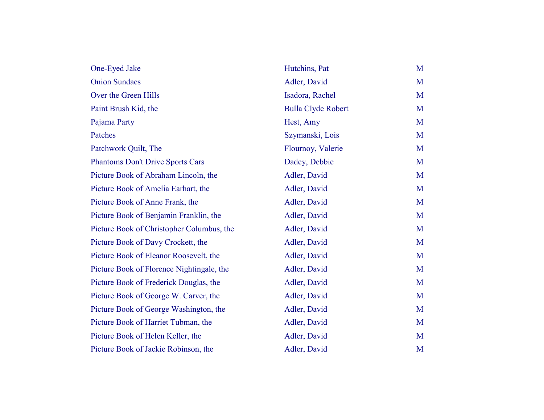| One-Eyed Jake                             | Hutchins, Pat             | M |
|-------------------------------------------|---------------------------|---|
| <b>Onion Sundaes</b>                      | Adler, David              | M |
| Over the Green Hills                      | Isadora, Rachel           | M |
| Paint Brush Kid, the                      | <b>Bulla Clyde Robert</b> | M |
| Pajama Party                              | Hest, Amy                 | M |
| Patches                                   | Szymanski, Lois           | M |
| Patchwork Quilt, The                      | Flournoy, Valerie         | M |
| <b>Phantoms Don't Drive Sports Cars</b>   | Dadey, Debbie             | M |
| Picture Book of Abraham Lincoln, the      | Adler, David              | M |
| Picture Book of Amelia Earhart, the       | Adler, David              | M |
| Picture Book of Anne Frank, the           | Adler, David              | M |
| Picture Book of Benjamin Franklin, the    | Adler, David              | M |
| Picture Book of Christopher Columbus, the | Adler, David              | M |
| Picture Book of Davy Crockett, the        | Adler, David              | M |
| Picture Book of Eleanor Roosevelt, the    | Adler, David              | M |
| Picture Book of Florence Nightingale, the | Adler, David              | M |
| Picture Book of Frederick Douglas, the    | Adler, David              | M |
| Picture Book of George W. Carver, the     | Adler, David              | M |
| Picture Book of George Washington, the    | Adler, David              | M |
| Picture Book of Harriet Tubman, the       | Adler, David              | M |
| Picture Book of Helen Keller, the         | Adler, David              | M |
| Picture Book of Jackie Robinson, the      | Adler, David              | M |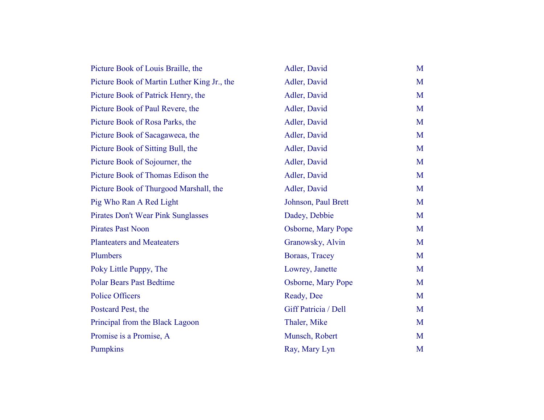| Picture Book of Louis Braille, the          | Adler, David         | M |
|---------------------------------------------|----------------------|---|
| Picture Book of Martin Luther King Jr., the | Adler, David         | M |
| Picture Book of Patrick Henry, the          | Adler, David         | M |
| Picture Book of Paul Revere, the            | Adler, David         | M |
| Picture Book of Rosa Parks, the             | Adler, David         | M |
| Picture Book of Sacagaweca, the             | Adler, David         | M |
| Picture Book of Sitting Bull, the           | Adler, David         | M |
| Picture Book of Sojourner, the              | Adler, David         | M |
| Picture Book of Thomas Edison the           | Adler, David         | M |
| Picture Book of Thurgood Marshall, the      | Adler, David         | M |
| Pig Who Ran A Red Light                     | Johnson, Paul Brett  | M |
| Pirates Don't Wear Pink Sunglasses          | Dadey, Debbie        | M |
| <b>Pirates Past Noon</b>                    | Osborne, Mary Pope   | M |
| <b>Planteaters and Meateaters</b>           | Granowsky, Alvin     | M |
| Plumbers                                    | Boraas, Tracey       | M |
| Poky Little Puppy, The                      | Lowrey, Janette      | M |
| <b>Polar Bears Past Bedtime</b>             | Osborne, Mary Pope   | M |
| <b>Police Officers</b>                      | Ready, Dee           | M |
| Postcard Pest, the                          | Giff Patricia / Dell | M |
| Principal from the Black Lagoon             | Thaler, Mike         | M |
| Promise is a Promise, A                     | Munsch, Robert       | M |
| Pumpkins                                    | Ray, Mary Lyn        | M |
|                                             |                      |   |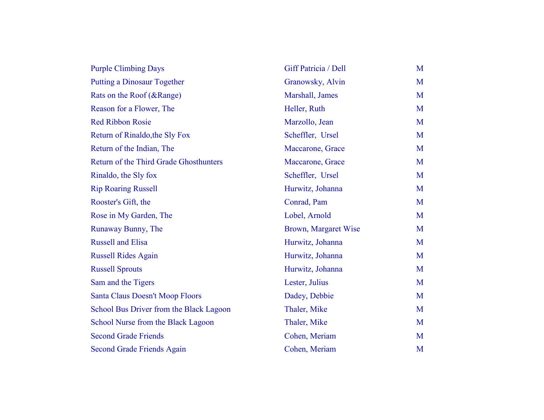| <b>Purple Climbing Days</b>             | Giff Patricia / Dell | M |
|-----------------------------------------|----------------------|---|
| <b>Putting a Dinosaur Together</b>      | Granowsky, Alvin     | M |
| Rats on the Roof (&Range)               | Marshall, James      | M |
| Reason for a Flower, The                | Heller, Ruth         | M |
| <b>Red Ribbon Rosie</b>                 | Marzollo, Jean       | M |
| Return of Rinaldo, the Sly Fox          | Scheffler, Ursel     | M |
| Return of the Indian, The               | Maccarone, Grace     | M |
| Return of the Third Grade Ghosthunters  | Maccarone, Grace     | M |
| Rinaldo, the Sly fox                    | Scheffler, Ursel     | M |
| <b>Rip Roaring Russell</b>              | Hurwitz, Johanna     | M |
| Rooster's Gift, the                     | Conrad, Pam          | M |
| Rose in My Garden, The                  | Lobel, Arnold        | M |
| Runaway Bunny, The                      | Brown, Margaret Wise | M |
| <b>Russell and Elisa</b>                | Hurwitz, Johanna     | M |
| <b>Russell Rides Again</b>              | Hurwitz, Johanna     | M |
| <b>Russell Sprouts</b>                  | Hurwitz, Johanna     | M |
| Sam and the Tigers                      | Lester, Julius       | M |
| Santa Claus Doesn't Moop Floors         | Dadey, Debbie        | M |
| School Bus Driver from the Black Lagoon | Thaler, Mike         | M |
| School Nurse from the Black Lagoon      | Thaler, Mike         | M |
| <b>Second Grade Friends</b>             | Cohen, Meriam        | M |
| <b>Second Grade Friends Again</b>       | Cohen, Meriam        | M |
|                                         |                      |   |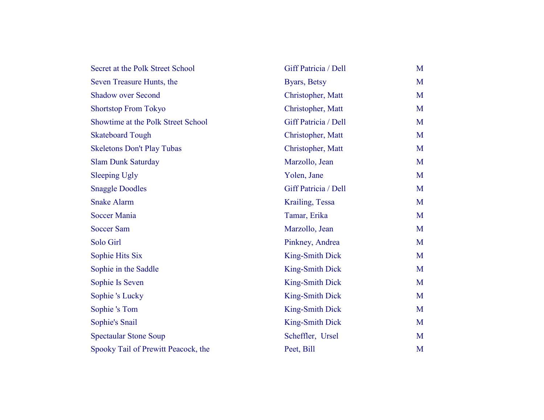| Secret at the Polk Street School    | Giff Patricia / Dell   | M |
|-------------------------------------|------------------------|---|
| Seven Treasure Hunts, the           | Byars, Betsy           | M |
| <b>Shadow over Second</b>           | Christopher, Matt      | M |
| <b>Shortstop From Tokyo</b>         | Christopher, Matt      | M |
| Showtime at the Polk Street School  | Giff Patricia / Dell   | M |
| <b>Skateboard Tough</b>             | Christopher, Matt      | M |
| <b>Skeletons Don't Play Tubas</b>   | Christopher, Matt      | M |
| <b>Slam Dunk Saturday</b>           | Marzollo, Jean         | M |
| <b>Sleeping Ugly</b>                | Yolen, Jane            | M |
| <b>Snaggle Doodles</b>              | Giff Patricia / Dell   | M |
| <b>Snake Alarm</b>                  | Krailing, Tessa        | M |
| <b>Soccer Mania</b>                 | Tamar, Erika           | M |
| <b>Soccer Sam</b>                   | Marzollo, Jean         | M |
| Solo Girl                           | Pinkney, Andrea        | M |
| Sophie Hits Six                     | <b>King-Smith Dick</b> | M |
| Sophie in the Saddle                | King-Smith Dick        | M |
| Sophie Is Seven                     | <b>King-Smith Dick</b> | M |
| Sophie 's Lucky                     | King-Smith Dick        | M |
| Sophie 's Tom                       | <b>King-Smith Dick</b> | M |
| Sophie's Snail                      | King-Smith Dick        | M |
| <b>Spectaular Stone Soup</b>        | Scheffler, Ursel       | M |
| Spooky Tail of Prewitt Peacock, the | Peet, Bill             | M |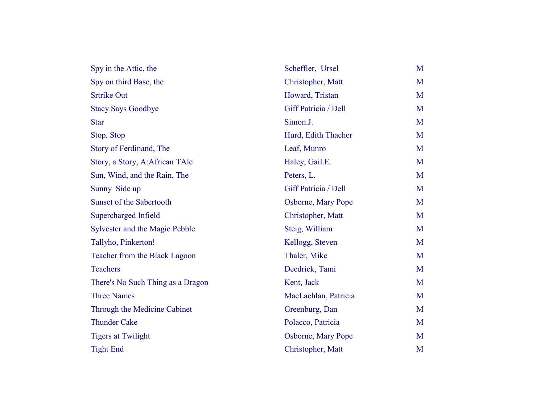| Spy in the Attic, the             | Scheffler, Ursel     | M |
|-----------------------------------|----------------------|---|
| Spy on third Base, the            | Christopher, Matt    | M |
| <b>Srtrike Out</b>                | Howard, Tristan      | M |
| <b>Stacy Says Goodbye</b>         | Giff Patricia / Dell | M |
| <b>Star</b>                       | Simon.J.             | M |
| Stop, Stop                        | Hurd, Edith Thacher  | M |
| Story of Ferdinand, The           | Leaf, Munro          | M |
| Story, a Story, A:African TAle    | Haley, Gail.E.       | M |
| Sun, Wind, and the Rain, The      | Peters, L.           | M |
| Sunny Side up                     | Giff Patricia / Dell | M |
| Sunset of the Sabertooth          | Osborne, Mary Pope   | M |
| Supercharged Infield              | Christopher, Matt    | M |
| Sylvester and the Magic Pebble    | Steig, William       | M |
| Tallyho, Pinkerton!               | Kellogg, Steven      | M |
| Teacher from the Black Lagoon     | Thaler, Mike         | M |
| <b>Teachers</b>                   | Deedrick, Tami       | M |
| There's No Such Thing as a Dragon | Kent, Jack           | M |
| <b>Three Names</b>                | MacLachlan, Patricia | M |
| Through the Medicine Cabinet      | Greenburg, Dan       | M |
| <b>Thunder Cake</b>               | Polacco, Patricia    | M |
| <b>Tigers at Twilight</b>         | Osborne, Mary Pope   | M |
| <b>Tight End</b>                  | Christopher, Matt    | M |
|                                   |                      |   |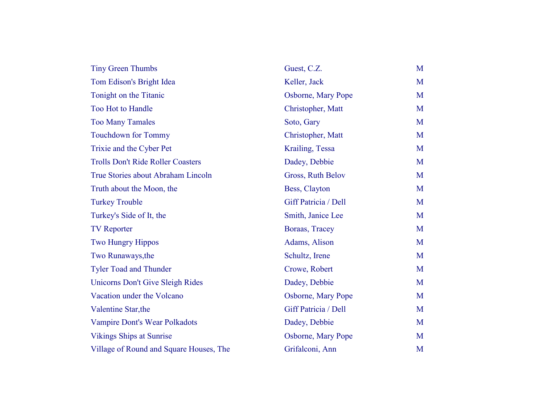| <b>Tiny Green Thumbs</b>                 | Guest, C.Z.          | M |
|------------------------------------------|----------------------|---|
| Tom Edison's Bright Idea                 | Keller, Jack         | M |
| Tonight on the Titanic                   | Osborne, Mary Pope   | M |
| Too Hot to Handle                        | Christopher, Matt    | M |
| <b>Too Many Tamales</b>                  | Soto, Gary           | M |
| <b>Touchdown for Tommy</b>               | Christopher, Matt    | M |
| Trixie and the Cyber Pet                 | Krailing, Tessa      | M |
| <b>Trolls Don't Ride Roller Coasters</b> | Dadey, Debbie        | M |
| True Stories about Abraham Lincoln       | Gross, Ruth Belov    | M |
| Truth about the Moon, the                | Bess, Clayton        | M |
| <b>Turkey Trouble</b>                    | Giff Patricia / Dell | M |
| Turkey's Side of It, the                 | Smith, Janice Lee    | M |
| <b>TV Reporter</b>                       | Boraas, Tracey       | M |
| <b>Two Hungry Hippos</b>                 | Adams, Alison        | M |
| Two Runaways, the                        | Schultz, Irene       | M |
| <b>Tyler Toad and Thunder</b>            | Crowe, Robert        | M |
| <b>Unicorns Don't Give Sleigh Rides</b>  | Dadey, Debbie        | M |
| Vacation under the Volcano               | Osborne, Mary Pope   | M |
| Valentine Star, the                      | Giff Patricia / Dell | M |
| Vampire Dont's Wear Polkadots            | Dadey, Debbie        | M |
| <b>Vikings Ships at Sunrise</b>          | Osborne, Mary Pope   | M |
| Village of Round and Square Houses, The  | Grifalconi, Ann      | M |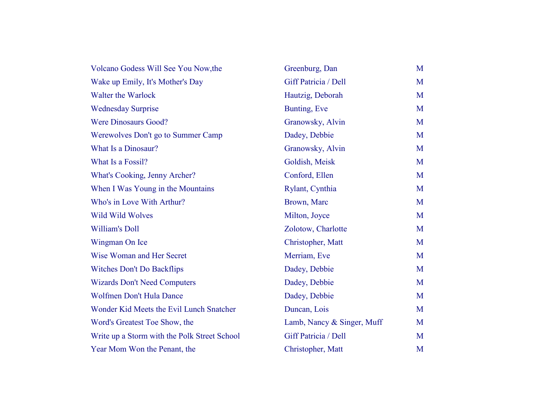| Volcano Godess Will See You Now, the         | Greenburg, Dan             | M |
|----------------------------------------------|----------------------------|---|
| Wake up Emily, It's Mother's Day             | Giff Patricia / Dell       | M |
| Walter the Warlock                           | Hautzig, Deborah           | M |
| <b>Wednesday Surprise</b>                    | Bunting, Eve               | M |
| <b>Were Dinosaurs Good?</b>                  | Granowsky, Alvin           | M |
| Werewolves Don't go to Summer Camp           | Dadey, Debbie              | M |
| What Is a Dinosaur?                          | Granowsky, Alvin           | M |
| What Is a Fossil?                            | Goldish, Meisk             | M |
| What's Cooking, Jenny Archer?                | Conford, Ellen             | M |
| When I Was Young in the Mountains            | Rylant, Cynthia            | M |
| Who's in Love With Arthur?                   | Brown, Marc                | M |
| <b>Wild Wild Wolves</b>                      | Milton, Joyce              | M |
| <b>William's Doll</b>                        | Zolotow, Charlotte         | M |
| Wingman On Ice                               | Christopher, Matt          | M |
| Wise Woman and Her Secret                    | Merriam, Eve               | M |
| <b>Witches Don't Do Backflips</b>            | Dadey, Debbie              | M |
| <b>Wizards Don't Need Computers</b>          | Dadey, Debbie              | M |
| Wolfmen Don't Hula Dance                     | Dadey, Debbie              | M |
| Wonder Kid Meets the Evil Lunch Snatcher     | Duncan, Lois               | M |
| Word's Greatest Toe Show, the                | Lamb, Nancy & Singer, Muff | M |
| Write up a Storm with the Polk Street School | Giff Patricia / Dell       | M |
| Year Mom Won the Penant, the                 | Christopher, Matt          | M |
|                                              |                            |   |